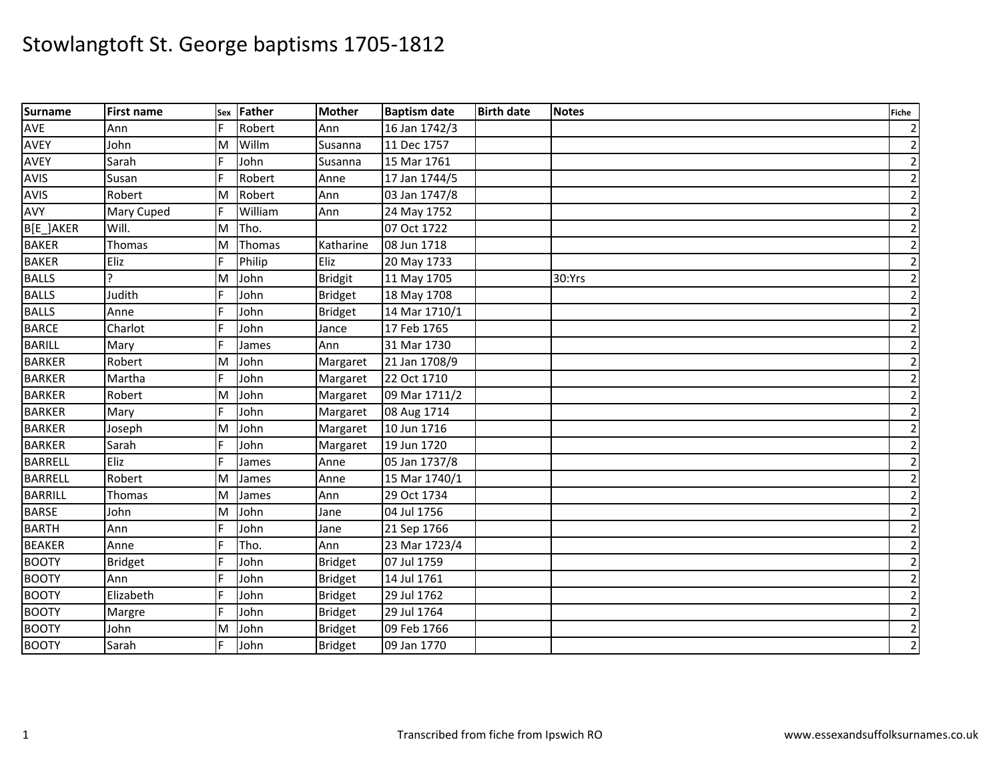| <b>Surname</b> | <b>First name</b> |   | sex Father | <b>Mother</b>  | <b>Baptism date</b> | <b>Birth date</b> | <b>Notes</b> | <b>Fiche</b>            |
|----------------|-------------------|---|------------|----------------|---------------------|-------------------|--------------|-------------------------|
| AVE            | Ann               | E | Robert     | Ann            | 16 Jan 1742/3       |                   |              | $\overline{2}$          |
| <b>AVEY</b>    | John              | M | Willm      | Susanna        | 11 Dec 1757         |                   |              | $\overline{\mathbf{c}}$ |
| <b>AVEY</b>    | Sarah             | F | John       | Susanna        | 15 Mar 1761         |                   |              | $\overline{\mathbf{c}}$ |
| <b>AVIS</b>    | Susan             | F | Robert     | Anne           | 17 Jan 1744/5       |                   |              | $\overline{\mathbf{c}}$ |
| <b>AVIS</b>    | Robert            | M | Robert     | Ann            | 03 Jan 1747/8       |                   |              | $\overline{2}$          |
| <b>AVY</b>     | Mary Cuped        |   | William    | Ann            | 24 May 1752         |                   |              | $\overline{c}$          |
| B[E_]AKER      | Will.             | M | Tho.       |                | 07 Oct 1722         |                   |              | $\overline{c}$          |
| <b>BAKER</b>   | Thomas            | M | Thomas     | Katharine      | 08 Jun 1718         |                   |              | $\overline{\mathbf{c}}$ |
| <b>BAKER</b>   | Eliz              | E | Philip     | Eliz           | 20 May 1733         |                   |              | $\overline{2}$          |
| <b>BALLS</b>   | C                 | M | John       | <b>Bridgit</b> | 11 May 1705         |                   | 30:Yrs       | $\overline{c}$          |
| <b>BALLS</b>   | Judith            | F | John       | <b>Bridget</b> | 18 May 1708         |                   |              | $\overline{c}$          |
| <b>BALLS</b>   | Anne              | F | John       | <b>Bridget</b> | 14 Mar 1710/1       |                   |              | $\overline{\mathbf{c}}$ |
| <b>BARCE</b>   | Charlot           | E | John       | Jance          | 17 Feb 1765         |                   |              | $\overline{2}$          |
| <b>BARILL</b>  | Mary              | F | James      | Ann            | 31 Mar 1730         |                   |              | $\overline{c}$          |
| <b>BARKER</b>  | Robert            | M | John       | Margaret       | 21 Jan 1708/9       |                   |              | $\overline{c}$          |
| <b>BARKER</b>  | Martha            | F | John       | Margaret       | 22 Oct 1710         |                   |              | $\overline{c}$          |
| <b>BARKER</b>  | Robert            | M | John       | Margaret       | 09 Mar 1711/2       |                   |              | $\mathbf 2$             |
| <b>BARKER</b>  | Mary              | F | John       | Margaret       | 08 Aug 1714         |                   |              | $\overline{c}$          |
| <b>BARKER</b>  | Joseph            | M | John       | Margaret       | 10 Jun 1716         |                   |              | $\overline{c}$          |
| <b>BARKER</b>  | Sarah             | F | John       | Margaret       | 19 Jun 1720         |                   |              | $\overline{c}$          |
| <b>BARRELL</b> | Eliz              | F | James      | Anne           | 05 Jan 1737/8       |                   |              | $\sqrt{2}$              |
| <b>BARRELL</b> | Robert            | м | James      | Anne           | 15 Mar 1740/1       |                   |              | $\overline{c}$          |
| <b>BARRILL</b> | Thomas            | M | James      | Ann            | 29 Oct 1734         |                   |              | $\overline{c}$          |
| <b>BARSE</b>   | John              | M | John       | Jane           | 04 Jul 1756         |                   |              | $\overline{c}$          |
| <b>BARTH</b>   | Ann               | E | John       | Jane           | 21 Sep 1766         |                   |              | $\overline{2}$          |
| <b>BEAKER</b>  | Anne              | F | Tho.       | Ann            | 23 Mar 1723/4       |                   |              | $\overline{c}$          |
| <b>BOOTY</b>   | <b>Bridget</b>    |   | John       | <b>Bridget</b> | 07 Jul 1759         |                   |              | $\overline{c}$          |
| <b>BOOTY</b>   | Ann               | F | John       | <b>Bridget</b> | 14 Jul 1761         |                   |              | $\overline{c}$          |
| <b>BOOTY</b>   | Elizabeth         | E | John       | <b>Bridget</b> | 29 Jul 1762         |                   |              | $\overline{2}$          |
| <b>BOOTY</b>   | Margre            | F | John       | <b>Bridget</b> | 29 Jul 1764         |                   |              | $\overline{c}$          |
| <b>BOOTY</b>   | John              | M | John       | <b>Bridget</b> | 09 Feb 1766         |                   |              | $\overline{2}$          |
| <b>BOOTY</b>   | Sarah             |   | John       | <b>Bridget</b> | 09 Jan 1770         |                   |              | $\overline{2}$          |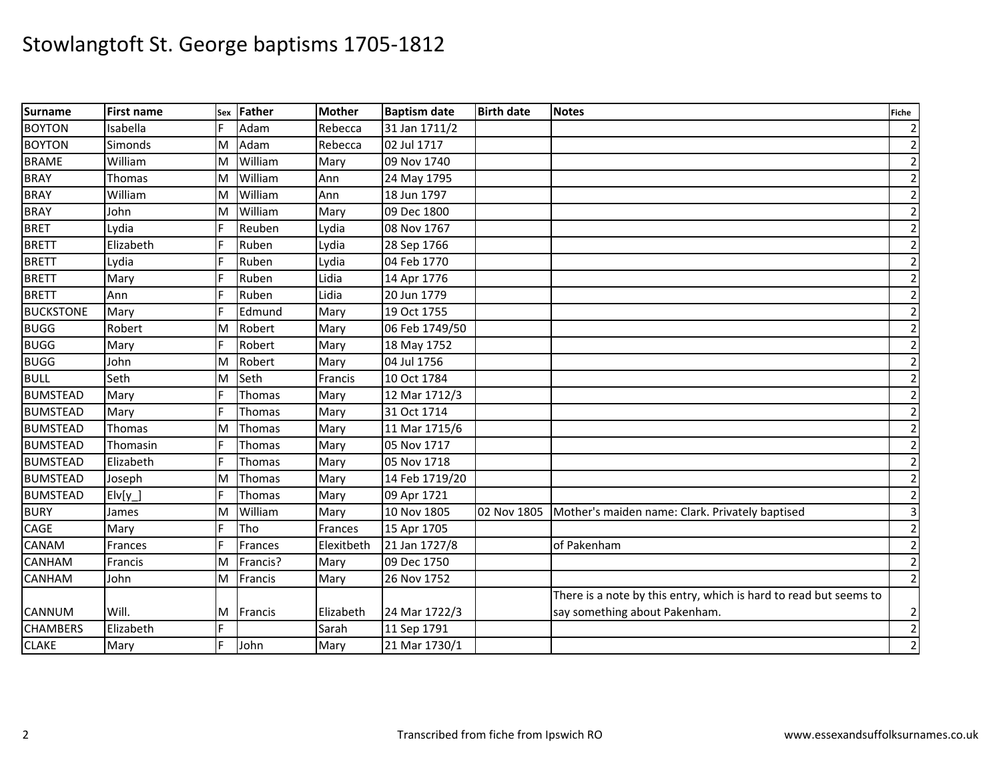| Surname          | <b>First name</b> |    | sex Father | <b>Mother</b> | <b>Baptism date</b> | <b>Birth date</b> | <b>Notes</b>                                                      | <b>Fiche</b>            |
|------------------|-------------------|----|------------|---------------|---------------------|-------------------|-------------------------------------------------------------------|-------------------------|
| <b>BOYTON</b>    | Isabella          | F  | Adam       | Rebecca       | 31 Jan 1711/2       |                   |                                                                   | $\overline{2}$          |
| <b>BOYTON</b>    | Simonds           | M  | Adam       | Rebecca       | 02 Jul 1717         |                   |                                                                   | 2                       |
| <b>BRAME</b>     | William           | M  | William    | Mary          | 09 Nov 1740         |                   |                                                                   | $\overline{2}$          |
| <b>BRAY</b>      | Thomas            | M  | William    | Ann           | 24 May 1795         |                   |                                                                   | $\overline{\mathbf{c}}$ |
| <b>BRAY</b>      | William           | M  | William    | Ann           | 18 Jun 1797         |                   |                                                                   | $\overline{\mathbf{c}}$ |
| <b>BRAY</b>      | John              | M  | William    | Mary          | 09 Dec 1800         |                   |                                                                   | $\overline{\mathbf{c}}$ |
| <b>BRET</b>      | Lydia             | F  | Reuben     | Lydia         | 08 Nov 1767         |                   |                                                                   | $\overline{\mathbf{c}}$ |
| <b>BRETT</b>     | Elizabeth         | F  | Ruben      | Lydia         | 28 Sep 1766         |                   |                                                                   | 2                       |
| <b>BRETT</b>     | Lydia             | F  | Ruben      | Lydia         | 04 Feb 1770         |                   |                                                                   | $\overline{\mathbf{c}}$ |
| <b>BRETT</b>     | Mary              | F  | Ruben      | Lidia         | 14 Apr 1776         |                   |                                                                   | $\overline{\mathbf{c}}$ |
| <b>BRETT</b>     | Ann               |    | Ruben      | Lidia         | 20 Jun 1779         |                   |                                                                   | $\overline{\mathbf{c}}$ |
| <b>BUCKSTONE</b> | Mary              | F  | Edmund     | Mary          | 19 Oct 1755         |                   |                                                                   | $\overline{\mathbf{c}}$ |
| <b>BUGG</b>      | Robert            | M  | Robert     | Mary          | 06 Feb 1749/50      |                   |                                                                   | $\overline{\mathbf{c}}$ |
| <b>BUGG</b>      | Mary              | F  | Robert     | Mary          | 18 May 1752         |                   |                                                                   | $\overline{\mathbf{c}}$ |
| <b>BUGG</b>      | John              | M  | Robert     | Mary          | 04 Jul 1756         |                   |                                                                   | $\overline{\mathbf{c}}$ |
| <b>BULL</b>      | Seth              | M  | Seth       | Francis       | 10 Oct 1784         |                   |                                                                   | $\overline{\mathbf{c}}$ |
| <b>BUMSTEAD</b>  | Mary              | F  | Thomas     | Mary          | 12 Mar 1712/3       |                   |                                                                   | $\mathbf 2$             |
| <b>BUMSTEAD</b>  | Mary              | F  | Thomas     | Mary          | 31 Oct 1714         |                   |                                                                   | 2                       |
| <b>BUMSTEAD</b>  | Thomas            | M  | Thomas     | Mary          | 11 Mar 1715/6       |                   |                                                                   | $\overline{2}$          |
| <b>BUMSTEAD</b>  | Thomasin          | F  | Thomas     | Mary          | 05 Nov 1717         |                   |                                                                   | $\overline{\mathbf{c}}$ |
| <b>BUMSTEAD</b>  | Elizabeth         | F  | Thomas     | Mary          | 05 Nov 1718         |                   |                                                                   | $\overline{\mathbf{c}}$ |
| <b>BUMSTEAD</b>  | Joseph            | M  | Thomas     | Mary          | 14 Feb 1719/20      |                   |                                                                   | $\overline{\mathbf{c}}$ |
| <b>BUMSTEAD</b>  | $E[V[y_$          | F  | Thomas     | Mary          | 09 Apr 1721         |                   |                                                                   | $\overline{\mathbf{c}}$ |
| <b>BURY</b>      | James             | M  | William    | Mary          | 10 Nov 1805         |                   | 02 Nov 1805   Mother's maiden name: Clark. Privately baptised     | 3                       |
| <b>CAGE</b>      | Mary              | F  | Tho        | Frances       | 15 Apr 1705         |                   |                                                                   | $\overline{2}$          |
| <b>CANAM</b>     | Frances           | F  | Frances    | Elexitbeth    | 21 Jan 1727/8       |                   | of Pakenham                                                       | $\overline{\mathbf{c}}$ |
| CANHAM           | Francis           | M  | Francis?   | Mary          | 09 Dec 1750         |                   |                                                                   | $\mathbf 2$             |
| <b>CANHAM</b>    | John              | M  | Francis    | Mary          | 26 Nov 1752         |                   |                                                                   | $\overline{2}$          |
|                  |                   |    |            |               |                     |                   | There is a note by this entry, which is hard to read but seems to |                         |
| <b>CANNUM</b>    | Will.             | ΙM | Francis    | Elizabeth     | 24 Mar 1722/3       |                   | say something about Pakenham.                                     | $\overline{2}$          |
| <b>CHAMBERS</b>  | Elizabeth         |    |            | Sarah         | 11 Sep 1791         |                   |                                                                   | $\overline{2}$          |
| <b>CLAKE</b>     | Mary              | F  | John       | Mary          | 21 Mar 1730/1       |                   |                                                                   | $\overline{2}$          |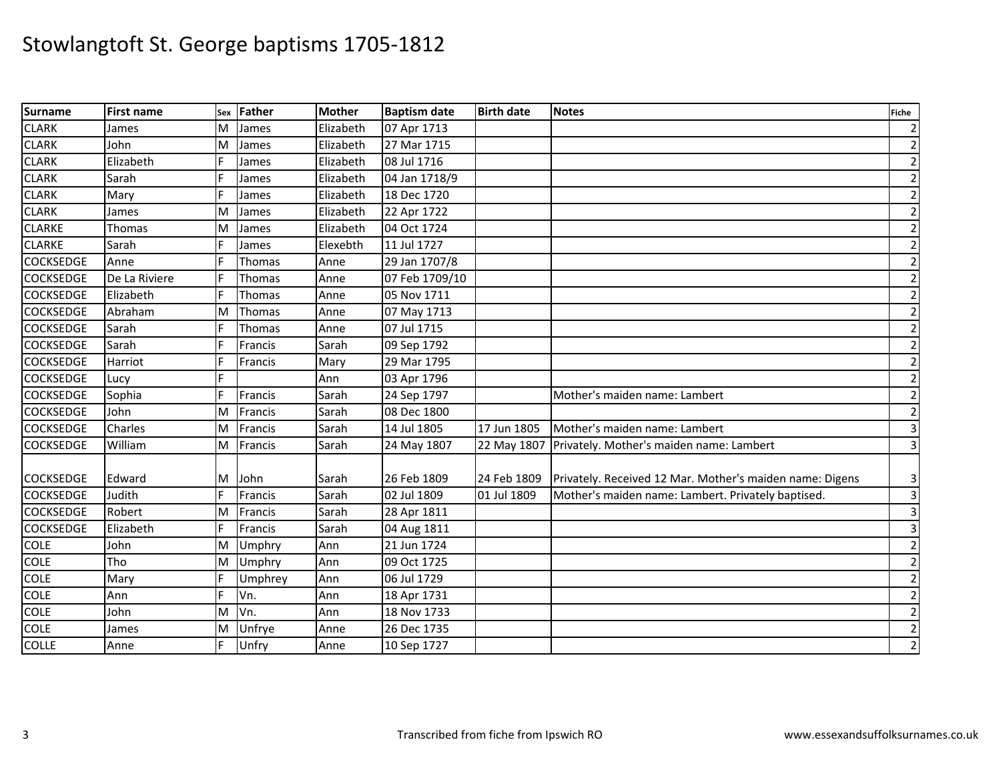| <b>Surname</b>   | <b>First name</b> | Sex | Father  | <b>Mother</b> | <b>Baptism date</b> | <b>Birth date</b> | <b>Notes</b>                                             | Fiche                   |
|------------------|-------------------|-----|---------|---------------|---------------------|-------------------|----------------------------------------------------------|-------------------------|
| <b>CLARK</b>     | James             | M   | James   | Elizabeth     | 07 Apr 1713         |                   |                                                          | $\overline{2}$          |
| <b>CLARK</b>     | John              | M   | James   | Elizabeth     | 27 Mar 1715         |                   |                                                          | $\overline{2}$          |
| <b>CLARK</b>     | Elizabeth         |     | James   | Elizabeth     | 08 Jul 1716         |                   |                                                          | $\overline{2}$          |
| <b>CLARK</b>     | Sarah             |     | James   | Elizabeth     | 04 Jan 1718/9       |                   |                                                          | $\overline{c}$          |
| <b>CLARK</b>     | Mary              | E   | James   | Elizabeth     | 18 Dec 1720         |                   |                                                          | $\overline{c}$          |
| <b>CLARK</b>     | James             | M   | James   | Elizabeth     | 22 Apr 1722         |                   |                                                          | $\overline{2}$          |
| <b>CLARKE</b>    | Thomas            | M   | James   | Elizabeth     | 04 Oct 1724         |                   |                                                          | $\overline{2}$          |
| <b>CLARKE</b>    | Sarah             | F   | James   | Elexebth      | 11 Jul 1727         |                   |                                                          | $\overline{c}$          |
| <b>COCKSEDGE</b> | Anne              | F   | Thomas  | Anne          | 29 Jan 1707/8       |                   |                                                          | $\overline{c}$          |
| <b>COCKSEDGE</b> | De La Riviere     |     | Thomas  | Anne          | 07 Feb 1709/10      |                   |                                                          | $\overline{2}$          |
| <b>COCKSEDGE</b> | Elizabeth         |     | Thomas  | Anne          | 05 Nov 1711         |                   |                                                          | $\overline{2}$          |
| <b>COCKSEDGE</b> | Abraham           | M   | Thomas  | Anne          | 07 May 1713         |                   |                                                          | $\overline{c}$          |
| <b>COCKSEDGE</b> | Sarah             | F   | Thomas  | Anne          | 07 Jul 1715         |                   |                                                          | $\overline{\mathbf{c}}$ |
| <b>COCKSEDGE</b> | Sarah             |     | Francis | Sarah         | 09 Sep 1792         |                   |                                                          | $\overline{2}$          |
| <b>COCKSEDGE</b> | Harriot           |     | Francis | Mary          | 29 Mar 1795         |                   |                                                          | $\overline{2}$          |
| <b>COCKSEDGE</b> | Lucy              | E   |         | Ann           | 03 Apr 1796         |                   |                                                          | $\overline{c}$          |
| <b>COCKSEDGE</b> | Sophia            | E   | Francis | Sarah         | 24 Sep 1797         |                   | Mother's maiden name: Lambert                            | $\overline{2}$          |
| <b>COCKSEDGE</b> | John              | M   | Francis | Sarah         | 08 Dec 1800         |                   |                                                          | $\overline{c}$          |
| <b>COCKSEDGE</b> | Charles           | M   | Francis | Sarah         | 14 Jul 1805         | 17 Jun 1805       | Mother's maiden name: Lambert                            | 3                       |
| <b>COCKSEDGE</b> | William           | M   | Francis | Sarah         | 24 May 1807         | 22 May 1807       | Privately. Mother's maiden name: Lambert                 | 3                       |
|                  |                   |     |         |               |                     |                   |                                                          |                         |
| <b>COCKSEDGE</b> | Edward            | M   | John    | Sarah         | 26 Feb 1809         | 24 Feb 1809       | Privately. Received 12 Mar. Mother's maiden name: Digens | 3                       |
| <b>COCKSEDGE</b> | Judith            | F   | Francis | Sarah         | 02 Jul 1809         | 01 Jul 1809       | Mother's maiden name: Lambert. Privately baptised.       | 3                       |
| <b>COCKSEDGE</b> | Robert            | M   | Francis | Sarah         | 28 Apr 1811         |                   |                                                          | 3                       |
| <b>COCKSEDGE</b> | Elizabeth         | E   | Francis | Sarah         | 04 Aug 1811         |                   |                                                          | 3                       |
| <b>COLE</b>      | John              | M   | Umphry  | Ann           | 21 Jun 1724         |                   |                                                          | $\overline{2}$          |
| <b>COLE</b>      | Tho               | M   | Umphry  | Ann           | 09 Oct 1725         |                   |                                                          | $\overline{\mathbf{c}}$ |
| <b>COLE</b>      | Mary              | F   | Umphrey | Ann           | 06 Jul 1729         |                   |                                                          | $\overline{\mathbf{c}}$ |
| <b>COLE</b>      | Ann               | E   | Vn.     | Ann           | 18 Apr 1731         |                   |                                                          | $\overline{2}$          |
| <b>COLE</b>      | John              | M   | Vn.     | Ann           | 18 Nov 1733         |                   |                                                          | $\overline{2}$          |
| <b>COLE</b>      | James             | M   | Unfrye  | Anne          | 26 Dec 1735         |                   |                                                          | $\overline{\mathbf{c}}$ |
| <b>COLLE</b>     | Anne              | F   | Unfry   | Anne          | 10 Sep 1727         |                   |                                                          | $\overline{2}$          |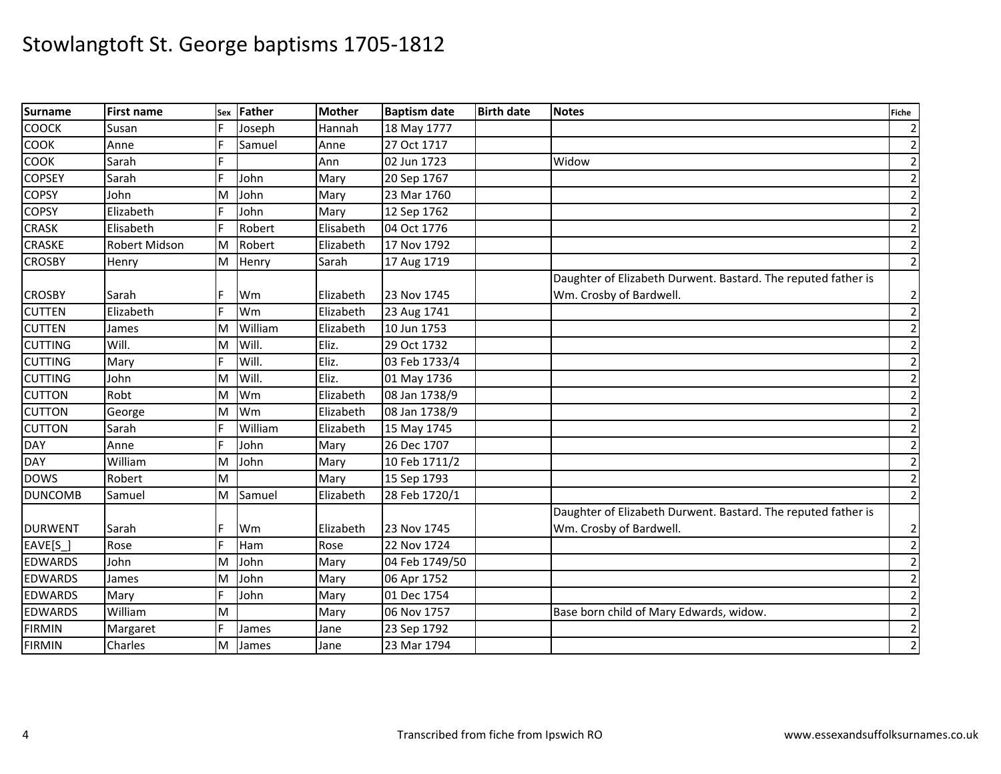| <b>Surname</b> | <b>First name</b> | Sex | Father  | Mother    | <b>Baptism date</b> | <b>Birth date</b> | <b>Notes</b>                                                  | <b>Fiche</b>            |
|----------------|-------------------|-----|---------|-----------|---------------------|-------------------|---------------------------------------------------------------|-------------------------|
| <b>COOCK</b>   | Susan             | F   | Joseph  | Hannah    | 18 May 1777         |                   |                                                               | $\overline{2}$          |
| <b>COOK</b>    | Anne              | F   | Samuel  | Anne      | 27 Oct 1717         |                   |                                                               | $\overline{\mathbf{c}}$ |
| <b>COOK</b>    | Sarah             | F   |         | Ann       | 02 Jun 1723         |                   | Widow                                                         | $\overline{2}$          |
| <b>COPSEY</b>  | Sarah             | F   | John    | Mary      | 20 Sep 1767         |                   |                                                               | $\overline{c}$          |
| <b>COPSY</b>   | John              | M   | John    | Mary      | 23 Mar 1760         |                   |                                                               | $\overline{2}$          |
| <b>COPSY</b>   | Elizabeth         | F   | John    | Mary      | 12 Sep 1762         |                   |                                                               | $\mathbf 2$             |
| <b>CRASK</b>   | Elisabeth         |     | Robert  | Elisabeth | 04 Oct 1776         |                   |                                                               | $\overline{2}$          |
| <b>CRASKE</b>  | Robert Midson     | M   | Robert  | Elizabeth | 17 Nov 1792         |                   |                                                               | $\overline{2}$          |
| <b>CROSBY</b>  | Henry             | M   | Henry   | Sarah     | 17 Aug 1719         |                   |                                                               | $\overline{2}$          |
|                |                   |     |         |           |                     |                   | Daughter of Elizabeth Durwent. Bastard. The reputed father is |                         |
| <b>CROSBY</b>  | Sarah             | F   | Wm      | Elizabeth | 23 Nov 1745         |                   | Wm. Crosby of Bardwell.                                       | $\overline{2}$          |
| <b>CUTTEN</b>  | Elizabeth         | F   | Wm      | Elizabeth | 23 Aug 1741         |                   |                                                               | $\overline{2}$          |
| <b>CUTTEN</b>  | James             | M   | William | Elizabeth | 10 Jun 1753         |                   |                                                               | $\overline{2}$          |
| <b>CUTTING</b> | Will.             | M   | Will.   | Eliz.     | 29 Oct 1732         |                   |                                                               | $\overline{2}$          |
| <b>CUTTING</b> | Mary              | F   | Will.   | Eliz.     | 03 Feb 1733/4       |                   |                                                               | $\overline{\mathbf{c}}$ |
| <b>CUTTING</b> | John              | M   | Will.   | Eliz.     | 01 May 1736         |                   |                                                               | $\overline{2}$          |
| <b>CUTTON</b>  | Robt              | M   | Wm      | Elizabeth | 08 Jan 1738/9       |                   |                                                               | $\overline{\mathbf{c}}$ |
| <b>CUTTON</b>  | George            | M   | Wm      | Elizabeth | 08 Jan 1738/9       |                   |                                                               | $\overline{2}$          |
| <b>CUTTON</b>  | Sarah             | F   | William | Elizabeth | 15 May 1745         |                   |                                                               | $\overline{\mathbf{c}}$ |
| <b>DAY</b>     | Anne              | E   | John    | Mary      | 26 Dec 1707         |                   |                                                               | $\overline{2}$          |
| <b>DAY</b>     | William           | M   | John    | Mary      | 10 Feb 1711/2       |                   |                                                               | $\overline{2}$          |
| <b>DOWS</b>    | Robert            | M   |         | Mary      | 15 Sep 1793         |                   |                                                               | $\mathbf 2$             |
| <b>DUNCOMB</b> | Samuel            | M   | Samuel  | Elizabeth | 28 Feb 1720/1       |                   |                                                               | $\mathbf{2}$            |
|                |                   |     |         |           |                     |                   | Daughter of Elizabeth Durwent. Bastard. The reputed father is |                         |
| <b>DURWENT</b> | Sarah             | F   | Wm      | Elizabeth | 23 Nov 1745         |                   | Wm. Crosby of Bardwell.                                       | 2                       |
| EAVE[S_]       | Rose              | E   | Ham     | Rose      | 22 Nov 1724         |                   |                                                               | $\overline{2}$          |
| <b>EDWARDS</b> | John              | M   | John    | Mary      | 04 Feb 1749/50      |                   |                                                               | $\overline{2}$          |
| <b>EDWARDS</b> | James             | M   | John    | Mary      | 06 Apr 1752         |                   |                                                               | $\overline{\mathbf{c}}$ |
| <b>EDWARDS</b> | Mary              | F   | John    | Mary      | 01 Dec 1754         |                   |                                                               | $\overline{2}$          |
| <b>EDWARDS</b> | William           | M   |         | Mary      | 06 Nov 1757         |                   | Base born child of Mary Edwards, widow.                       | $\overline{c}$          |
| <b>FIRMIN</b>  | Margaret          | F   | James   | Jane      | 23 Sep 1792         |                   |                                                               | $\overline{2}$          |
| <b>FIRMIN</b>  | Charles           | M   | James   | Jane      | 23 Mar 1794         |                   |                                                               | $\overline{2}$          |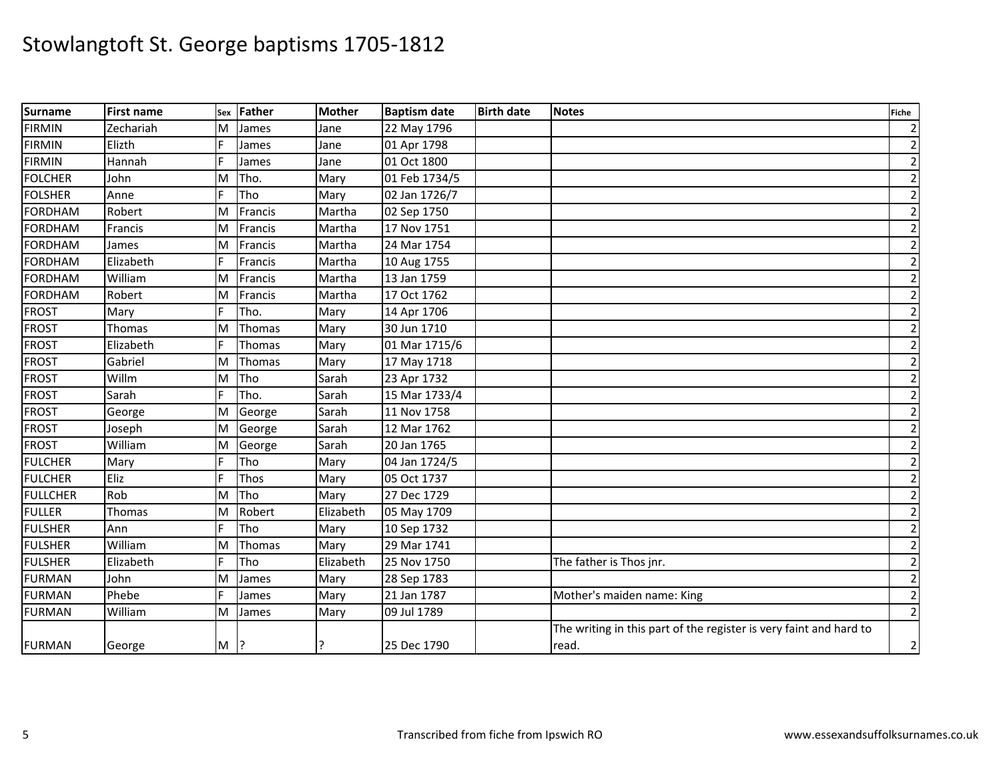| <b>Surname</b>  | <b>First name</b> | Sex   | Father  | <b>Mother</b> | <b>Baptism date</b> | <b>Birth date</b> | <b>Notes</b>                                                       | <b>Fiche</b>            |
|-----------------|-------------------|-------|---------|---------------|---------------------|-------------------|--------------------------------------------------------------------|-------------------------|
| <b>FIRMIN</b>   | Zechariah         | M     | James   | Jane          | 22 May 1796         |                   |                                                                    | $\overline{2}$          |
| <b>FIRMIN</b>   | Elizth            | F     | James   | Jane          | 01 Apr 1798         |                   |                                                                    | $\overline{c}$          |
| <b>FIRMIN</b>   | Hannah            | F     | James   | Jane          | 01 Oct 1800         |                   |                                                                    | $\overline{\mathbf{c}}$ |
| <b>FOLCHER</b>  | John              | M     | Tho.    | Mary          | 01 Feb 1734/5       |                   |                                                                    | $\overline{\mathbf{c}}$ |
| <b>FOLSHER</b>  | Anne              | E     | Tho     | Mary          | 02 Jan 1726/7       |                   |                                                                    | $\mathbf 2$             |
| <b>FORDHAM</b>  | Robert            | M     | Francis | Martha        | 02 Sep 1750         |                   |                                                                    | $\overline{\mathbf{c}}$ |
| <b>FORDHAM</b>  | Francis           | M     | Francis | Martha        | 17 Nov 1751         |                   |                                                                    | $\overline{\mathbf{c}}$ |
| <b>FORDHAM</b>  | James             | M     | Francis | Martha        | 24 Mar 1754         |                   |                                                                    | $\overline{\mathbf{c}}$ |
| <b>FORDHAM</b>  | Elizabeth         | E     | Francis | Martha        | 10 Aug 1755         |                   |                                                                    | $\overline{2}$          |
| <b>FORDHAM</b>  | William           | M     | Francis | Martha        | 13 Jan 1759         |                   |                                                                    | $\overline{\mathbf{c}}$ |
| <b>FORDHAM</b>  | Robert            | M     | Francis | Martha        | 17 Oct 1762         |                   |                                                                    | $\overline{\mathbf{c}}$ |
| <b>FROST</b>    | Mary              | E     | Tho.    | Mary          | 14 Apr 1706         |                   |                                                                    | $\overline{\mathbf{c}}$ |
| <b>FROST</b>    | Thomas            | M     | Thomas  | Mary          | 30 Jun 1710         |                   |                                                                    | $\overline{\mathbf{c}}$ |
| <b>FROST</b>    | Elizabeth         | E     | Thomas  | Mary          | 01 Mar 1715/6       |                   |                                                                    | $\overline{c}$          |
| <b>FROST</b>    | Gabriel           | M     | Thomas  | Mary          | 17 May 1718         |                   |                                                                    | $\overline{\mathbf{c}}$ |
| <b>FROST</b>    | Willm             | M     | Tho     | Sarah         | 23 Apr 1732         |                   |                                                                    | $\overline{\mathbf{c}}$ |
| <b>FROST</b>    | Sarah             | E     | Tho.    | Sarah         | 15 Mar 1733/4       |                   |                                                                    | $\overline{\mathbf{c}}$ |
| <b>FROST</b>    | George            | M     | George  | Sarah         | 11 Nov 1758         |                   |                                                                    | $\overline{\mathbf{c}}$ |
| <b>FROST</b>    | Joseph            | M     | George  | Sarah         | 12 Mar 1762         |                   |                                                                    | $\overline{2}$          |
| <b>FROST</b>    | William           | M     | George  | Sarah         | 20 Jan 1765         |                   |                                                                    | $\overline{c}$          |
| <b>FULCHER</b>  | Mary              | F     | Tho     | Mary          | 04 Jan 1724/5       |                   |                                                                    | $\mathbf 2$             |
| <b>FULCHER</b>  | Eliz              | E     | Thos    | Mary          | 05 Oct 1737         |                   |                                                                    | $\overline{\mathbf{c}}$ |
| <b>FULLCHER</b> | Rob               | M     | Tho     | Mary          | 27 Dec 1729         |                   |                                                                    | $\overline{\mathbf{c}}$ |
| <b>FULLER</b>   | Thomas            | M     | Robert  | Elizabeth     | 05 May 1709         |                   |                                                                    | $\overline{c}$          |
| <b>FULSHER</b>  | Ann               | E     | Tho     | Mary          | 10 Sep 1732         |                   |                                                                    | $\overline{2}$          |
| <b>FULSHER</b>  | William           | M     | Thomas  | Mary          | 29 Mar 1741         |                   |                                                                    | $\overline{c}$          |
| <b>FULSHER</b>  | Elizabeth         | F     | Tho     | Elizabeth     | 25 Nov 1750         |                   | The father is Thos jnr.                                            | $\overline{\mathbf{c}}$ |
| <b>FURMAN</b>   | John              | M     | James   | Mary          | 28 Sep 1783         |                   |                                                                    | $\overline{\mathbf{c}}$ |
| <b>FURMAN</b>   | Phebe             | E     | James   | Mary          | 21 Jan 1787         |                   | Mother's maiden name: King                                         | $\overline{2}$          |
| <b>FURMAN</b>   | William           | M     | James   | Mary          | 09 Jul 1789         |                   |                                                                    | $\overline{2}$          |
|                 |                   |       |         |               |                     |                   | The writing in this part of the register is very faint and hard to |                         |
| <b>FURMAN</b>   | George            | $M$ ? |         |               | 25 Dec 1790         |                   | read.                                                              | $\overline{2}$          |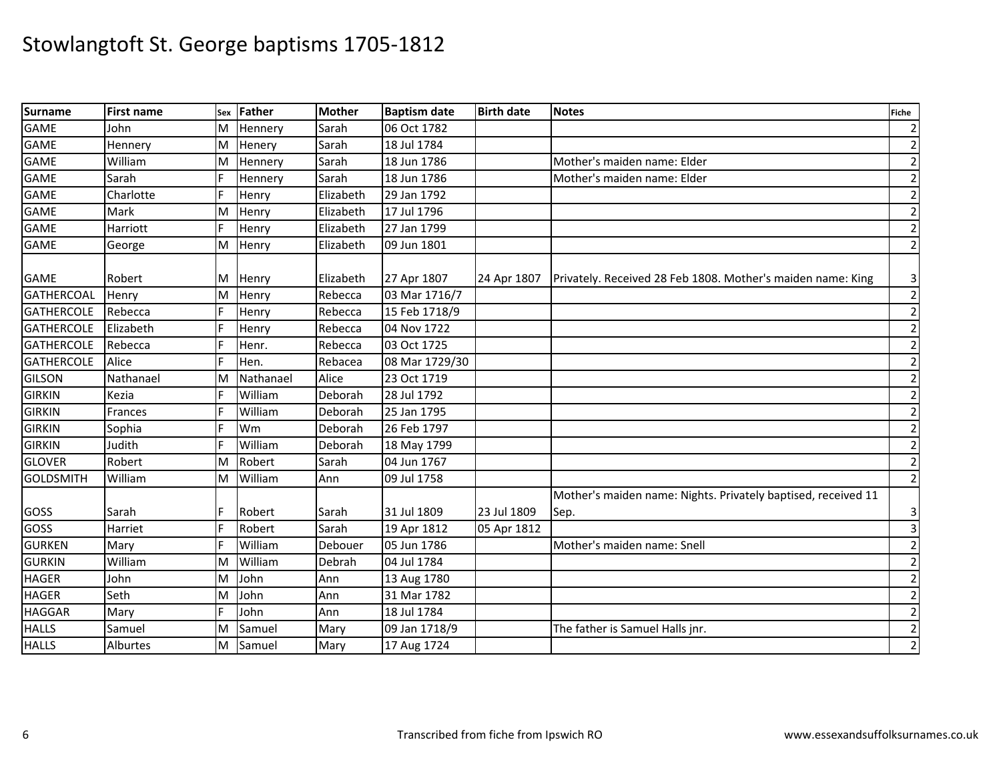| <b>Surname</b>    | <b>First name</b> | Sex | Father    | <b>Mother</b> | <b>Baptism date</b> | <b>Birth date</b> | <b>Notes</b>                                                  | Fiche                   |
|-------------------|-------------------|-----|-----------|---------------|---------------------|-------------------|---------------------------------------------------------------|-------------------------|
| <b>GAME</b>       | John              | м   | Hennery   | Sarah         | 06 Oct 1782         |                   |                                                               | $\overline{2}$          |
| <b>GAME</b>       | Hennery           | M   | Henery    | Sarah         | 18 Jul 1784         |                   |                                                               | $\overline{\mathbf{c}}$ |
| <b>GAME</b>       | William           | M   | Hennery   | Sarah         | 18 Jun 1786         |                   | Mother's maiden name: Elder                                   | $\overline{2}$          |
| <b>GAME</b>       | Sarah             | F   | Hennery   | Sarah         | 18 Jun 1786         |                   | Mother's maiden name: Elder                                   | $\overline{c}$          |
| <b>GAME</b>       | Charlotte         | F   | Henry     | Elizabeth     | 29 Jan 1792         |                   |                                                               | $\overline{2}$          |
| <b>GAME</b>       | Mark              | M   | Henry     | Elizabeth     | 17 Jul 1796         |                   |                                                               | $\overline{2}$          |
| <b>GAME</b>       | Harriott          |     | Henry     | Elizabeth     | 27 Jan 1799         |                   |                                                               | $\overline{2}$          |
| <b>GAME</b>       | George            | M   | Henry     | Elizabeth     | 09 Jun 1801         |                   |                                                               | $\overline{2}$          |
|                   |                   |     |           |               |                     |                   |                                                               |                         |
| <b>GAME</b>       | Robert            | м   | Henry     | Elizabeth     | 27 Apr 1807         | 24 Apr 1807       | Privately. Received 28 Feb 1808. Mother's maiden name: King   | 3                       |
| <b>GATHERCOAL</b> | Henry             | м   | Henry     | Rebecca       | 03 Mar 1716/7       |                   |                                                               | $\mathbf 2$             |
| <b>GATHERCOLE</b> | Rebecca           | F   | Henry     | Rebecca       | 15 Feb 1718/9       |                   |                                                               | $\overline{c}$          |
| <b>GATHERCOLE</b> | Elizabeth         | F   | Henry     | Rebecca       | 04 Nov 1722         |                   |                                                               | $\overline{c}$          |
| <b>GATHERCOLE</b> | Rebecca           | E   | Henr.     | Rebecca       | 03 Oct 1725         |                   |                                                               | $\overline{2}$          |
| <b>GATHERCOLE</b> | Alice             | F   | lHen.     | Rebacea       | 08 Mar 1729/30      |                   |                                                               | $\overline{2}$          |
| <b>GILSON</b>     | Nathanael         | M   | Nathanael | Alice         | 23 Oct 1719         |                   |                                                               | $\overline{c}$          |
| <b>GIRKIN</b>     | Kezia             | F   | William   | Deborah       | 28 Jul 1792         |                   |                                                               | $\overline{\mathbf{c}}$ |
| <b>GIRKIN</b>     | Frances           | E   | William   | Deborah       | 25 Jan 1795         |                   |                                                               | $\overline{2}$          |
| <b>GIRKIN</b>     | Sophia            | F   | Wm        | Deborah       | 26 Feb 1797         |                   |                                                               | $\overline{c}$          |
| <b>GIRKIN</b>     | Judith            |     | William   | Deborah       | 18 May 1799         |                   |                                                               | $\overline{2}$          |
| <b>GLOVER</b>     | Robert            | м   | Robert    | Sarah         | 04 Jun 1767         |                   |                                                               | $\overline{\mathbf{c}}$ |
| <b>GOLDSMITH</b>  | William           | M   | William   | Ann           | 09 Jul 1758         |                   |                                                               | $\overline{2}$          |
|                   |                   |     |           |               |                     |                   | Mother's maiden name: Nights. Privately baptised, received 11 |                         |
| GOSS              | Sarah             |     | Robert    | Sarah         | 31 Jul 1809         | 23 Jul 1809       | Sep.                                                          | 3                       |
| GOSS              | Harriet           | F   | Robert    | Sarah         | 19 Apr 1812         | 05 Apr 1812       |                                                               | 3                       |
| <b>GURKEN</b>     | Mary              | F   | William   | Debouer       | 05 Jun 1786         |                   | Mother's maiden name: Snell                                   | $\overline{2}$          |
| <b>GURKIN</b>     | William           | м   | William   | Debrah        | 04 Jul 1784         |                   |                                                               | $\overline{2}$          |
| <b>HAGER</b>      | John              | M   | John      | Ann           | 13 Aug 1780         |                   |                                                               | $\overline{\mathbf{c}}$ |
| <b>HAGER</b>      | Seth              | м   | John      | Ann           | 31 Mar 1782         |                   |                                                               | $\overline{2}$          |
| <b>HAGGAR</b>     | Mary              | F   | John      | Ann           | 18 Jul 1784         |                   |                                                               | $\overline{\mathbf{c}}$ |
| <b>HALLS</b>      | Samuel            | M   | Samuel    | Mary          | 09 Jan 1718/9       |                   | The father is Samuel Halls jnr.                               | $\mathbf 2$             |
| <b>HALLS</b>      | Alburtes          | M   | Samuel    | Mary          | 17 Aug 1724         |                   |                                                               | $\overline{2}$          |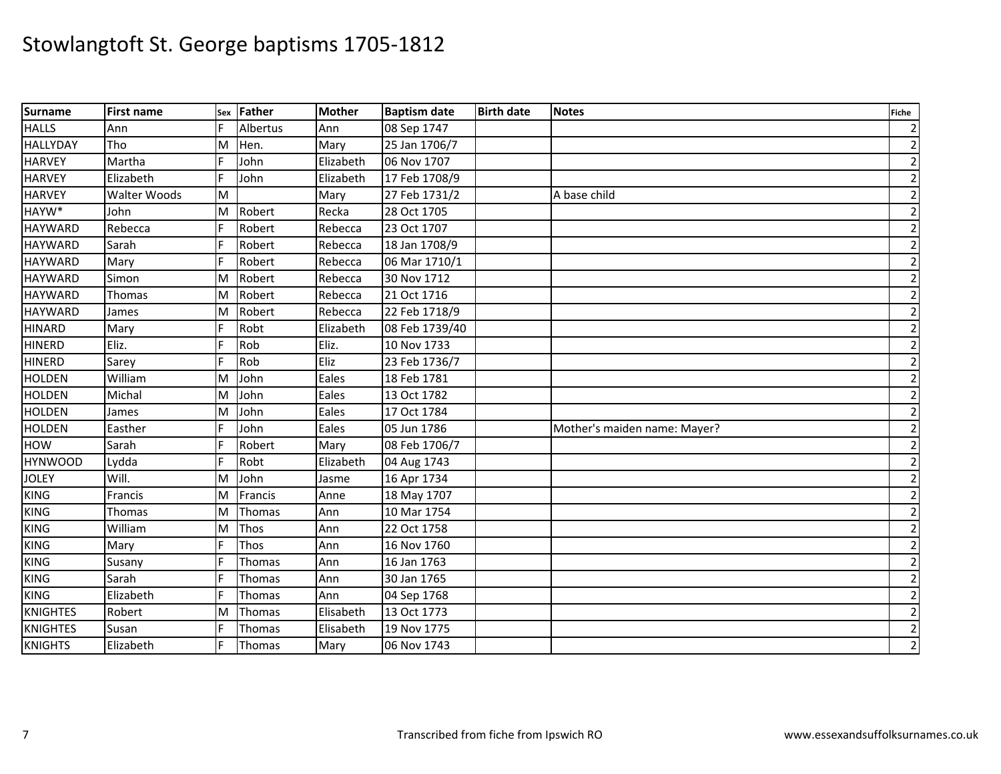| Surname         | <b>First name</b> |   | sex Father  | <b>Mother</b> | <b>Baptism date</b> | <b>Birth date</b> | <b>Notes</b>                 | <b>Fiche</b>            |
|-----------------|-------------------|---|-------------|---------------|---------------------|-------------------|------------------------------|-------------------------|
| <b>HALLS</b>    | Ann               | F | Albertus    | Ann           | 08 Sep 1747         |                   |                              | $\overline{2}$          |
| <b>HALLYDAY</b> | Tho               | M | Hen.        | Mary          | 25 Jan 1706/7       |                   |                              | $\overline{\mathbf{c}}$ |
| <b>HARVEY</b>   | Martha            | F | John        | Elizabeth     | 06 Nov 1707         |                   |                              | $\overline{\mathbf{c}}$ |
| <b>HARVEY</b>   | Elizabeth         | E | John        | Elizabeth     | 17 Feb 1708/9       |                   |                              | $\overline{c}$          |
| <b>HARVEY</b>   | Walter Woods      | M |             | Mary          | 27 Feb 1731/2       |                   | A base child                 | $\overline{2}$          |
| HAYW*           | John              | M | Robert      | Recka         | 28 Oct 1705         |                   |                              | $\overline{2}$          |
| <b>HAYWARD</b>  | Rebecca           |   | Robert      | Rebecca       | 23 Oct 1707         |                   |                              | $\overline{\mathbf{c}}$ |
| <b>HAYWARD</b>  | Sarah             | F | Robert      | Rebecca       | 18 Jan 1708/9       |                   |                              | $\overline{\mathbf{c}}$ |
| <b>HAYWARD</b>  | Mary              | E | Robert      | Rebecca       | 06 Mar 1710/1       |                   |                              | $\overline{2}$          |
| <b>HAYWARD</b>  | Simon             | M | Robert      | Rebecca       | 30 Nov 1712         |                   |                              | $\overline{c}$          |
| <b>HAYWARD</b>  | Thomas            | M | Robert      | Rebecca       | 21 Oct 1716         |                   |                              | $\overline{\mathbf{c}}$ |
| <b>HAYWARD</b>  | James             | M | Robert      | Rebecca       | 22 Feb 1718/9       |                   |                              | $\overline{\mathbf{c}}$ |
| <b>HINARD</b>   | Mary              | F | Robt        | Elizabeth     | 08 Feb 1739/40      |                   |                              | $\overline{c}$          |
| <b>HINERD</b>   | Eliz.             | F | Rob         | Eliz.         | 10 Nov 1733         |                   |                              | $\overline{c}$          |
| <b>HINERD</b>   | Sarey             | F | Rob         | Eliz          | 23 Feb 1736/7       |                   |                              | $\overline{\mathbf{c}}$ |
| <b>HOLDEN</b>   | William           | М | John        | Eales         | 18 Feb 1781         |                   |                              | $\overline{\mathbf{c}}$ |
| <b>HOLDEN</b>   | Michal            | M | John        | Eales         | 13 Oct 1782         |                   |                              | $\overline{c}$          |
| <b>HOLDEN</b>   | James             | M | John        | Eales         | 17 Oct 1784         |                   |                              | $\overline{c}$          |
| <b>HOLDEN</b>   | Easther           | F | John        | Eales         | 05 Jun 1786         |                   | Mother's maiden name: Mayer? | $\overline{\mathbf{c}}$ |
| HOW             | Sarah             | F | Robert      | Mary          | 08 Feb 1706/7       |                   |                              | $\overline{c}$          |
| <b>HYNWOOD</b>  | Lydda             | F | Robt        | Elizabeth     | 04 Aug 1743         |                   |                              | $\overline{2}$          |
| <b>JOLEY</b>    | Will.             | M | John        | Jasme         | 16 Apr 1734         |                   |                              | $\overline{2}$          |
| KING            | Francis           | М | Francis     | Anne          | 18 May 1707         |                   |                              | $\overline{2}$          |
| <b>KING</b>     | Thomas            | M | Thomas      | Ann           | 10 Mar 1754         |                   |                              | $\overline{\mathbf{c}}$ |
| <b>KING</b>     | William           | M | <b>Thos</b> | Ann           | 22 Oct 1758         |                   |                              | $\overline{2}$          |
| <b>KING</b>     | Mary              | F | Thos        | Ann           | 16 Nov 1760         |                   |                              | $\overline{2}$          |
| <b>KING</b>     | Susany            |   | Thomas      | Ann           | 16 Jan 1763         |                   |                              | $\overline{2}$          |
| <b>KING</b>     | Sarah             |   | Thomas      | Ann           | 30 Jan 1765         |                   |                              | $\overline{2}$          |
| <b>KING</b>     | Elizabeth         | F | Thomas      | Ann           | 04 Sep 1768         |                   |                              | $\overline{2}$          |
| <b>KNIGHTES</b> | Robert            | M | Thomas      | Elisabeth     | 13 Oct 1773         |                   |                              | $\overline{c}$          |
| <b>KNIGHTES</b> | Susan             |   | Thomas      | Elisabeth     | 19 Nov 1775         |                   |                              | $\overline{c}$          |
| <b>KNIGHTS</b>  | Elizabeth         |   | Thomas      | Mary          | 06 Nov 1743         |                   |                              | $\overline{2}$          |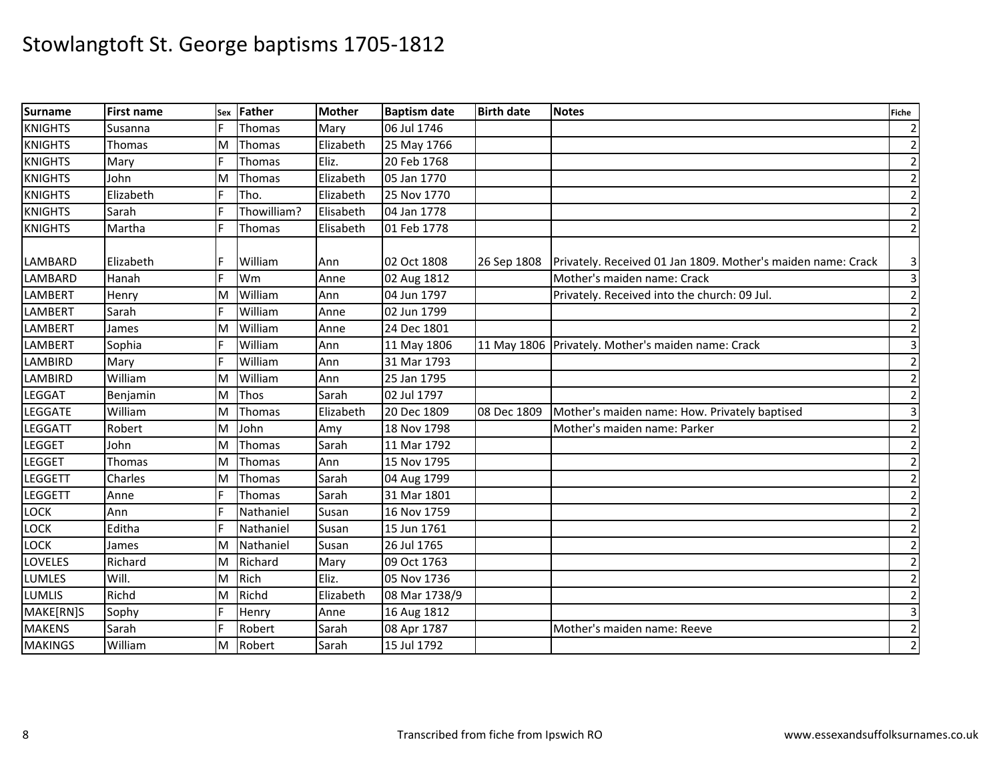| <b>Surname</b> | <b>First name</b> | Sex | Father      | <b>Mother</b> | <b>Baptism date</b> | <b>Birth date</b> | <b>Notes</b>                                                 | <b>Fiche</b>            |
|----------------|-------------------|-----|-------------|---------------|---------------------|-------------------|--------------------------------------------------------------|-------------------------|
| <b>KNIGHTS</b> | Susanna           | F   | Thomas      | Mary          | 06 Jul 1746         |                   |                                                              | $\overline{2}$          |
| <b>KNIGHTS</b> | Thomas            | M   | Thomas      | Elizabeth     | 25 May 1766         |                   |                                                              | $\overline{\mathbf{c}}$ |
| <b>KNIGHTS</b> | Mary              | F   | Thomas      | Eliz.         | 20 Feb 1768         |                   |                                                              | $\overline{\mathbf{c}}$ |
| <b>KNIGHTS</b> | John              | M   | Thomas      | Elizabeth     | 05 Jan 1770         |                   |                                                              | $\overline{c}$          |
| <b>KNIGHTS</b> | Elizabeth         | F   | Tho.        | Elizabeth     | 25 Nov 1770         |                   |                                                              | $\overline{2}$          |
| <b>KNIGHTS</b> | Sarah             | F   | Thowilliam? | Elisabeth     | 04 Jan 1778         |                   |                                                              | $\mathbf 2$             |
| <b>KNIGHTS</b> | Martha            |     | Thomas      | Elisabeth     | 01 Feb 1778         |                   |                                                              | $\overline{2}$          |
| <b>LAMBARD</b> | Elizabeth         |     | William     | Ann           | 02 Oct 1808         | 26 Sep 1808       | Privately. Received 01 Jan 1809. Mother's maiden name: Crack | 3                       |
| <b>LAMBARD</b> | Hanah             | F   | Wm          | Anne          | 02 Aug 1812         |                   | Mother's maiden name: Crack                                  | $\mathbf{3}$            |
| <b>LAMBERT</b> | Henry             | M   | William     | Ann           | 04 Jun 1797         |                   | Privately. Received into the church: 09 Jul.                 | $\overline{2}$          |
| LAMBERT        | Sarah             | F   | William     | Anne          | 02 Jun 1799         |                   |                                                              | $\overline{2}$          |
| <b>LAMBERT</b> | James             | M   | William     | Anne          | 24 Dec 1801         |                   |                                                              | $\overline{c}$          |
| <b>LAMBERT</b> | Sophia            | F   | William     | Ann           | 11 May 1806         |                   | 11 May 1806 Privately. Mother's maiden name: Crack           | 3                       |
| <b>LAMBIRD</b> | Mary              | F   | William     | Ann           | 31 Mar 1793         |                   |                                                              | $\overline{\mathbf{c}}$ |
| LAMBIRD        | William           | M   | William     | Ann           | 25 Jan 1795         |                   |                                                              | $\overline{\mathbf{c}}$ |
| <b>LEGGAT</b>  | Benjamin          | M   | Thos        | Sarah         | 02 Jul 1797         |                   |                                                              | $\overline{\mathbf{c}}$ |
| <b>LEGGATE</b> | William           | M   | Thomas      | Elizabeth     | 20 Dec 1809         | 08 Dec 1809       | Mother's maiden name: How. Privately baptised                | $\overline{3}$          |
| <b>LEGGATT</b> | Robert            | M   | John        | Amy           | 18 Nov 1798         |                   | Mother's maiden name: Parker                                 | $\overline{\mathbf{c}}$ |
| <b>LEGGET</b>  | John              | M   | Thomas      | Sarah         | 11 Mar 1792         |                   |                                                              | $\overline{2}$          |
| <b>LEGGET</b>  | Thomas            | M   | Thomas      | Ann           | 15 Nov 1795         |                   |                                                              | $\overline{2}$          |
| <b>LEGGETT</b> | Charles           | M   | Thomas      | Sarah         | 04 Aug 1799         |                   |                                                              | $\overline{2}$          |
| <b>LEGGETT</b> | Anne              | F   | Thomas      | Sarah         | 31 Mar 1801         |                   |                                                              | $\overline{2}$          |
| LOCK           | Ann               |     | Nathaniel   | Susan         | 16 Nov 1759         |                   |                                                              | $\overline{c}$          |
| LOCK           | Editha            | F   | Nathaniel   | Susan         | 15 Jun 1761         |                   |                                                              | 2                       |
| LOCK           | James             | M   | Nathaniel   | Susan         | 26 Jul 1765         |                   |                                                              | $\overline{\mathbf{c}}$ |
| LOVELES        | Richard           | M   | Richard     | Mary          | 09 Oct 1763         |                   |                                                              | $\overline{2}$          |
| <b>LUMLES</b>  | Will.             | M   | Rich        | Eliz.         | 05 Nov 1736         |                   |                                                              | $\overline{\mathbf{c}}$ |
| <b>LUMLIS</b>  | Richd             | M   | Richd       | Elizabeth     | 08 Mar 1738/9       |                   |                                                              | $\overline{\mathbf{c}}$ |
| MAKE[RN]S      | Sophy             | F   | Henry       | Anne          | 16 Aug 1812         |                   |                                                              | 3                       |
| <b>MAKENS</b>  | Sarah             | E   | Robert      | Sarah         | 08 Apr 1787         |                   | Mother's maiden name: Reeve                                  | $\overline{2}$          |
| <b>MAKINGS</b> | William           | M   | Robert      | Sarah         | 15 Jul 1792         |                   |                                                              | $\overline{2}$          |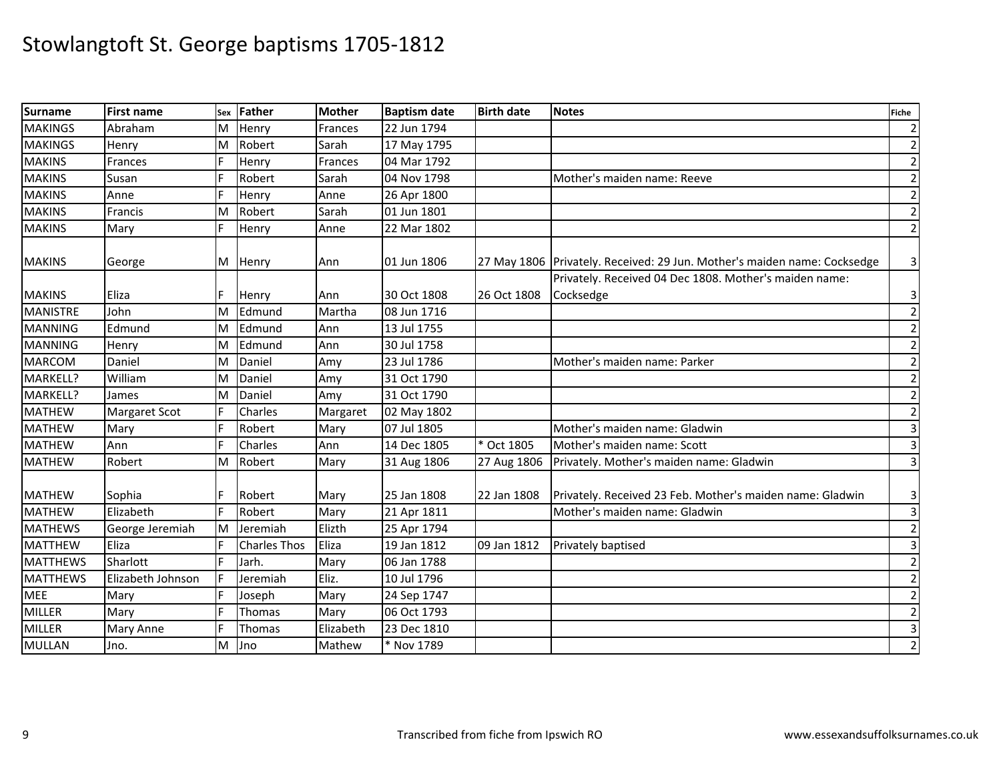| <b>Surname</b>  | <b>First name</b>    | Sex | Father              | <b>Mother</b> | <b>Baptism date</b> | <b>Birth date</b> | <b>Notes</b>                                                             | <b>Fiche</b>            |
|-----------------|----------------------|-----|---------------------|---------------|---------------------|-------------------|--------------------------------------------------------------------------|-------------------------|
| <b>MAKINGS</b>  | Abraham              | M   | Henry               | Frances       | 22 Jun 1794         |                   |                                                                          | $\overline{2}$          |
| <b>MAKINGS</b>  | Henry                | М   | Robert              | Sarah         | 17 May 1795         |                   |                                                                          | $\overline{2}$          |
| <b>MAKINS</b>   | Frances              |     | Henry               | Frances       | 04 Mar 1792         |                   |                                                                          | $\overline{2}$          |
| <b>MAKINS</b>   | Susan                | F   | Robert              | Sarah         | 04 Nov 1798         |                   | Mother's maiden name: Reeve                                              | $\overline{c}$          |
| <b>MAKINS</b>   | Anne                 | E   | Henry               | Anne          | 26 Apr 1800         |                   |                                                                          | $\overline{2}$          |
| <b>MAKINS</b>   | Francis              | M   | Robert              | Sarah         | 01 Jun 1801         |                   |                                                                          | $\overline{2}$          |
| <b>MAKINS</b>   | Mary                 | F   | Henry               | Anne          | 22 Mar 1802         |                   |                                                                          | $\overline{\mathbf{c}}$ |
| <b>MAKINS</b>   | George               | M   | Henry               | Ann           | 01 Jun 1806         |                   | 27 May 1806 Privately. Received: 29 Jun. Mother's maiden name: Cocksedge | 3                       |
|                 |                      |     |                     |               |                     |                   | Privately. Received 04 Dec 1808. Mother's maiden name:                   |                         |
| <b>MAKINS</b>   | Eliza                |     | Henry               | Ann           | 30 Oct 1808         | 26 Oct 1808       | Cocksedge                                                                | 3                       |
| <b>MANISTRE</b> | John                 | M   | Edmund              | Martha        | 08 Jun 1716         |                   |                                                                          | $\overline{2}$          |
| <b>MANNING</b>  | Edmund               | M   | Edmund              | Ann           | 13 Jul 1755         |                   |                                                                          | $\overline{2}$          |
| <b>MANNING</b>  | Henry                | M   | Edmund              | Ann           | 30 Jul 1758         |                   |                                                                          | $\overline{2}$          |
| <b>MARCOM</b>   | Daniel               | M   | Daniel              | Amy           | 23 Jul 1786         |                   | Mother's maiden name: Parker                                             | $\overline{\mathbf{c}}$ |
| MARKELL?        | William              | M   | Daniel              | Amv           | 31 Oct 1790         |                   |                                                                          | $\overline{2}$          |
| MARKELL?        | James                | M   | Daniel              | Amy           | 31 Oct 1790         |                   |                                                                          | $\overline{c}$          |
| <b>MATHEW</b>   | <b>Margaret Scot</b> | E   | Charles             | Margaret      | 02 May 1802         |                   |                                                                          | $\overline{2}$          |
| <b>MATHEW</b>   | Mary                 | E   | Robert              | Mary          | 07 Jul 1805         |                   | Mother's maiden name: Gladwin                                            | 3                       |
| <b>MATHEW</b>   | Ann                  | E   | Charles             | Ann           | 14 Dec 1805         | Oct 1805          | Mother's maiden name: Scott                                              | $\overline{3}$          |
| <b>MATHEW</b>   | Robert               | M   | Robert              | Mary          | 31 Aug 1806         | 27 Aug 1806       | Privately. Mother's maiden name: Gladwin                                 | 3                       |
| <b>MATHEW</b>   | Sophia               |     | Robert              | Mary          | 25 Jan 1808         | 22 Jan 1808       | Privately. Received 23 Feb. Mother's maiden name: Gladwin                | 3                       |
| <b>MATHEW</b>   | Elizabeth            | E   | Robert              | Mary          | 21 Apr 1811         |                   | Mother's maiden name: Gladwin                                            | 3                       |
| <b>MATHEWS</b>  | George Jeremiah      | M   | Jeremiah            | Elizth        | 25 Apr 1794         |                   |                                                                          | $\overline{\mathbf{c}}$ |
| <b>MATTHEW</b>  | Eliza                | E   | <b>Charles Thos</b> | Eliza         | 19 Jan 1812         | 09 Jan 1812       | Privately baptised                                                       | 3                       |
| <b>MATTHEWS</b> | Sharlott             | F   | Jarh.               | Mary          | 06 Jan 1788         |                   |                                                                          | $\overline{c}$          |
| <b>MATTHEWS</b> | Elizabeth Johnson    | E   | Jeremiah            | Eliz.         | 10 Jul 1796         |                   |                                                                          | $\overline{\mathbf{c}}$ |
| <b>MEE</b>      | Mary                 |     | Joseph              | Mary          | 24 Sep 1747         |                   |                                                                          | $\overline{2}$          |
| <b>MILLER</b>   | Mary                 | F   | Thomas              | Mary          | 06 Oct 1793         |                   |                                                                          | $\overline{\mathbf{c}}$ |
| <b>MILLER</b>   | Mary Anne            | E   | Thomas              | Elizabeth     | 23 Dec 1810         |                   |                                                                          | $\mathsf 3$             |
| <b>MULLAN</b>   | Jno.                 | M   | Jno                 | Mathew        | * Nov 1789          |                   |                                                                          | $\overline{2}$          |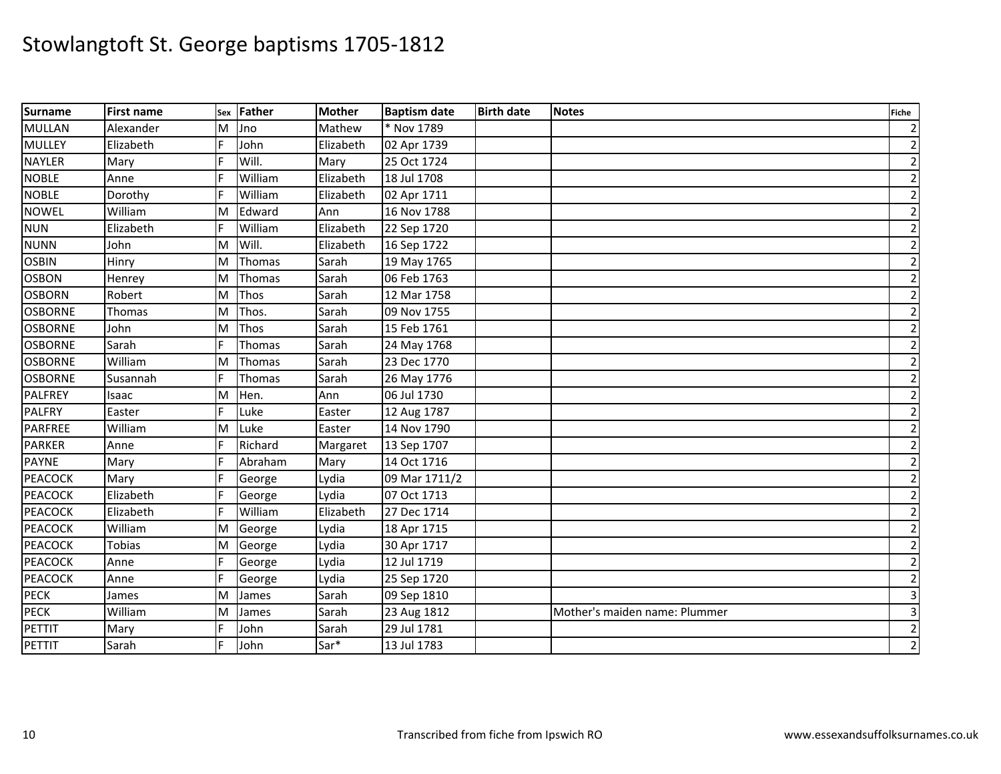| <b>Surname</b> | <b>First name</b> |   | Sex Father    | <b>Mother</b> | <b>Baptism date</b> | <b>Birth date</b> | <b>Notes</b>                  | <b>Fiche</b>            |
|----------------|-------------------|---|---------------|---------------|---------------------|-------------------|-------------------------------|-------------------------|
| <b>MULLAN</b>  | Alexander         | M | Jno           | Mathew        | * Nov 1789          |                   |                               | $\overline{2}$          |
| <b>MULLEY</b>  | Elizabeth         | F | John          | Elizabeth     | 02 Apr 1739         |                   |                               | $\overline{c}$          |
| <b>NAYLER</b>  | Mary              | F | Will.         | Mary          | 25 Oct 1724         |                   |                               | $\overline{2}$          |
| <b>NOBLE</b>   | Anne              | F | William       | Elizabeth     | 18 Jul 1708         |                   |                               | $\overline{\mathbf{c}}$ |
| <b>NOBLE</b>   | Dorothy           | F | William       | Elizabeth     | 02 Apr 1711         |                   |                               | $\mathbf 2$             |
| <b>NOWEL</b>   | William           | M | Edward        | Ann           | 16 Nov 1788         |                   |                               | $\overline{c}$          |
| <b>NUN</b>     | Elizabeth         | F | William       | Elizabeth     | 22 Sep 1720         |                   |                               | $\overline{c}$          |
| <b>NUNN</b>    | John              | M | Will.         | Elizabeth     | 16 Sep 1722         |                   |                               | $\overline{c}$          |
| <b>OSBIN</b>   | Hinry             | M | Thomas        | Sarah         | 19 May 1765         |                   |                               | $\overline{2}$          |
| <b>OSBON</b>   | Henrey            | M | Thomas        | Sarah         | 06 Feb 1763         |                   |                               | $\overline{\mathbf{c}}$ |
| <b>OSBORN</b>  | Robert            | M | Thos          | Sarah         | 12 Mar 1758         |                   |                               | $\overline{c}$          |
| <b>OSBORNE</b> | Thomas            | M | Thos.         | Sarah         | 09 Nov 1755         |                   |                               | $\overline{c}$          |
| <b>OSBORNE</b> | John              | M | Thos          | Sarah         | 15 Feb 1761         |                   |                               | $\overline{2}$          |
| <b>OSBORNE</b> | Sarah             | F | Thomas        | Sarah         | 24 May 1768         |                   |                               | $\overline{\mathbf{c}}$ |
| <b>OSBORNE</b> | William           | M | Thomas        | Sarah         | 23 Dec 1770         |                   |                               | $\overline{c}$          |
| <b>OSBORNE</b> | Susannah          | F | <b>Thomas</b> | Sarah         | 26 May 1776         |                   |                               | $\overline{c}$          |
| <b>PALFREY</b> | Isaac             | M | Hen.          | Ann           | 06 Jul 1730         |                   |                               | $\overline{2}$          |
| <b>PALFRY</b>  | Easter            | F | Luke          | Easter        | 12 Aug 1787         |                   |                               | $\overline{2}$          |
| <b>PARFREE</b> | William           | M | Luke          | Easter        | 14 Nov 1790         |                   |                               | $\overline{\mathbf{c}}$ |
| <b>PARKER</b>  | Anne              | F | Richard       | Margaret      | 13 Sep 1707         |                   |                               | $\overline{c}$          |
| <b>PAYNE</b>   | Mary              | E | Abraham       | Mary          | 14 Oct 1716         |                   |                               | $\overline{2}$          |
| <b>PEACOCK</b> | Mary              | F | George        | Lydia         | 09 Mar 1711/2       |                   |                               | $\overline{2}$          |
| <b>PEACOCK</b> | Elizabeth         |   | George        | Lydia         | 07 Oct 1713         |                   |                               | $\overline{2}$          |
| <b>PEACOCK</b> | Elizabeth         | F | William       | Elizabeth     | 27 Dec 1714         |                   |                               | $\overline{\mathbf{c}}$ |
| <b>PEACOCK</b> | William           | M | George        | Lydia         | 18 Apr 1715         |                   |                               | $\overline{2}$          |
| <b>PEACOCK</b> | <b>Tobias</b>     | M | George        | Lydia         | 30 Apr 1717         |                   |                               | $\overline{2}$          |
| <b>PEACOCK</b> | Anne              |   | George        | Lydia         | 12 Jul 1719         |                   |                               | $\overline{2}$          |
| <b>PEACOCK</b> | Anne              | F | George        | Lydia         | 25 Sep 1720         |                   |                               | $\overline{2}$          |
| PECK           | James             | M | James         | Sarah         | 09 Sep 1810         |                   |                               | 3                       |
| <b>PECK</b>    | William           | M | James         | Sarah         | 23 Aug 1812         |                   | Mother's maiden name: Plummer | 3                       |
| PETTIT         | Mary              |   | John          | Sarah         | 29 Jul 1781         |                   |                               | $\overline{c}$          |
| PETTIT         | Sarah             |   | John          | Sar*          | 13 Jul 1783         |                   |                               | $\overline{2}$          |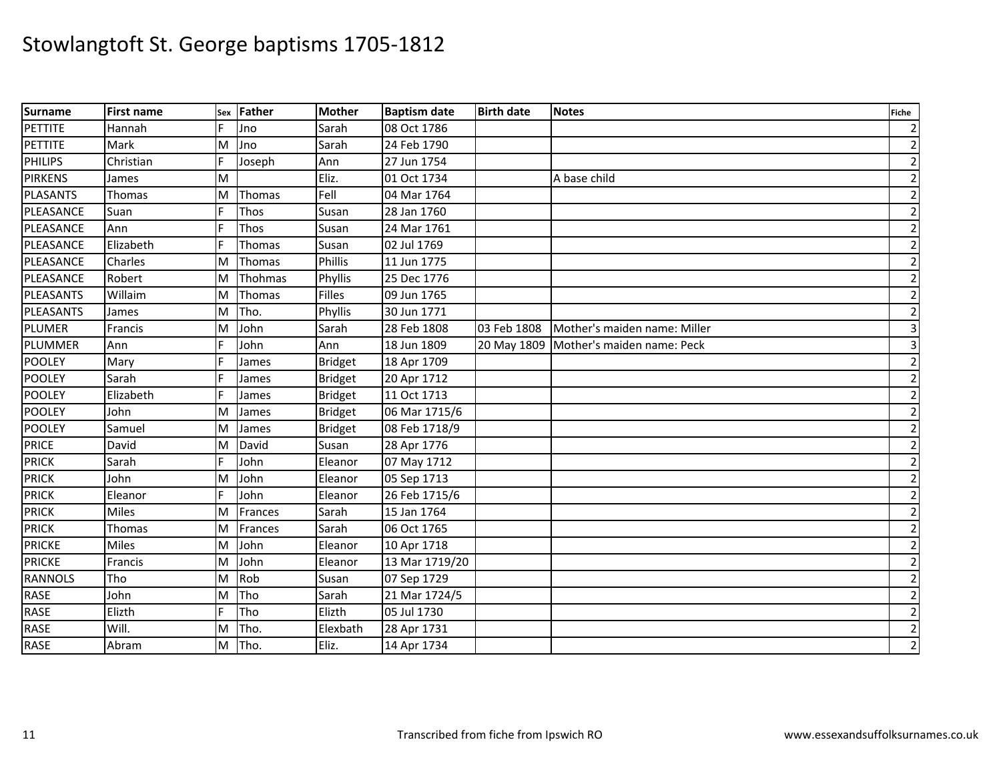| <b>Surname</b>  | <b>First name</b> | Sex | Father  | <b>Mother</b>  | <b>Baptism date</b> | <b>Birth date</b> | <b>Notes</b>                             | <b>Fiche</b>            |
|-----------------|-------------------|-----|---------|----------------|---------------------|-------------------|------------------------------------------|-------------------------|
| <b>PETTITE</b>  | Hannah            | F   | Jno     | Sarah          | 08 Oct 1786         |                   |                                          | $\overline{2}$          |
| PETTITE         | Mark              | M   | Jno     | Sarah          | 24 Feb 1790         |                   |                                          | $\mathbf 2$             |
| <b>PHILIPS</b>  | Christian         | F   | Joseph  | Ann            | 27 Jun 1754         |                   |                                          | $\overline{2}$          |
| <b>PIRKENS</b>  | James             | M   |         | Eliz.          | 01 Oct 1734         |                   | A base child                             | $\mathbf 2$             |
| <b>PLASANTS</b> | Thomas            | M   | Thomas  | Fell           | 04 Mar 1764         |                   |                                          | $\overline{2}$          |
| PLEASANCE       | Suan              | E   | Thos    | Susan          | 28 Jan 1760         |                   |                                          | $\overline{c}$          |
| PLEASANCE       | Ann               |     | Thos    | Susan          | 24 Mar 1761         |                   |                                          | $\overline{2}$          |
| PLEASANCE       | Elizabeth         |     | Thomas  | Susan          | 02 Jul 1769         |                   |                                          | $\mathbf 2$             |
| PLEASANCE       | Charles           | м   | Thomas  | <b>Phillis</b> | 11 Jun 1775         |                   |                                          | $\overline{2}$          |
| PLEASANCE       | Robert            | M   | Thohmas | Phyllis        | 25 Dec 1776         |                   |                                          | $\mathbf 2$             |
| PLEASANTS       | Willaim           | M   | Thomas  | <b>Filles</b>  | 09 Jun 1765         |                   |                                          | $\overline{2}$          |
| PLEASANTS       | James             | M   | Tho.    | Phyllis        | 30 Jun 1771         |                   |                                          | $\overline{2}$          |
| PLUMER          | Francis           | M   | John    | Sarah          | 28 Feb 1808         | 03 Feb 1808       | Mother's maiden name: Miller             | $\overline{\mathbf{3}}$ |
| PLUMMER         | Ann               | E   | John    | Ann            | 18 Jun 1809         |                   | 20 May 1809   Mother's maiden name: Peck | $\overline{\mathbf{3}}$ |
| <b>POOLEY</b>   | Mary              |     | James   | <b>Bridget</b> | 18 Apr 1709         |                   |                                          | $\mathbf 2$             |
| <b>POOLEY</b>   | Sarah             | F   | James   | <b>Bridget</b> | 20 Apr 1712         |                   |                                          | $\overline{2}$          |
| <b>POOLEY</b>   | Elizabeth         | F   | James   | <b>Bridget</b> | 11 Oct 1713         |                   |                                          | $\mathbf 2$             |
| <b>POOLEY</b>   | John              | M   | James   | <b>Bridget</b> | 06 Mar 1715/6       |                   |                                          | $\mathbf 2$             |
| <b>POOLEY</b>   | Samuel            | м   | James   | <b>Bridget</b> | 08 Feb 1718/9       |                   |                                          | $\overline{2}$          |
| <b>PRICE</b>    | David             | М   | David   | Susan          | 28 Apr 1776         |                   |                                          | $\overline{2}$          |
| <b>PRICK</b>    | Sarah             | Е   | John    | Eleanor        | 07 May 1712         |                   |                                          | $\mathbf 2$             |
| <b>PRICK</b>    | John              | M   | John    | Eleanor        | 05 Sep 1713         |                   |                                          | $\overline{2}$          |
| <b>PRICK</b>    | Eleanor           | F   | John    | Eleanor        | 26 Feb 1715/6       |                   |                                          | $\overline{2}$          |
| <b>PRICK</b>    | Miles             | M   | Frances | Sarah          | 15 Jan 1764         |                   |                                          | $\overline{2}$          |
| <b>PRICK</b>    | Thomas            | M   | Frances | Sarah          | 06 Oct 1765         |                   |                                          | $\overline{2}$          |
| <b>PRICKE</b>   | <b>Miles</b>      | M   | John    | Eleanor        | 10 Apr 1718         |                   |                                          | $\mathbf 2$             |
| <b>PRICKE</b>   | Francis           | M   | John    | Eleanor        | 13 Mar 1719/20      |                   |                                          | $\overline{2}$          |
| <b>RANNOLS</b>  | Tho               | M   | Rob     | Susan          | 07 Sep 1729         |                   |                                          | $\mathbf 2$             |
| RASE            | John              | м   | Tho     | Sarah          | 21 Mar 1724/5       |                   |                                          | $\overline{2}$          |
| RASE            | Elizth            | E   | Tho     | Elizth         | 05 Jul 1730         |                   |                                          | $\overline{c}$          |
| <b>RASE</b>     | Will.             | M   | Tho.    | Elexbath       | 28 Apr 1731         |                   |                                          | $\overline{2}$          |
| <b>RASE</b>     | Abram             | M   | Tho.    | Eliz.          | 14 Apr 1734         |                   |                                          | $\overline{2}$          |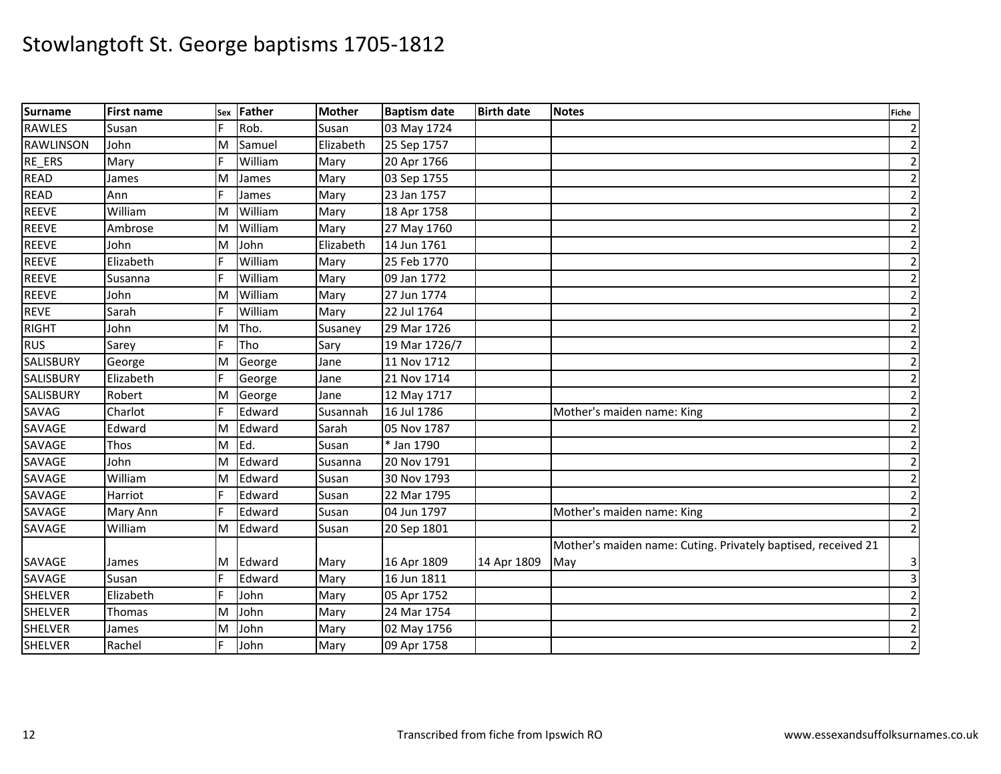| Surname          | <b>First name</b> |   | sex Father | <b>Mother</b> | <b>Baptism date</b> | <b>Birth date</b> | <b>Notes</b>                                                  | <b>Fiche</b>            |
|------------------|-------------------|---|------------|---------------|---------------------|-------------------|---------------------------------------------------------------|-------------------------|
| <b>RAWLES</b>    | Susan             | E | Rob.       | Susan         | 03 May 1724         |                   |                                                               | 2                       |
| <b>RAWLINSON</b> | John              | M | Samuel     | Elizabeth     | 25 Sep 1757         |                   |                                                               | $\overline{c}$          |
| RE_ERS           | Mary              | F | William    | Mary          | 20 Apr 1766         |                   |                                                               | $\overline{c}$          |
| <b>READ</b>      | James             | M | James      | Mary          | 03 Sep 1755         |                   |                                                               | $\mathbf 2$             |
| <b>READ</b>      | Ann               | Ē | James      | Mary          | 23 Jan 1757         |                   |                                                               | $\overline{c}$          |
| REEVE            | William           | M | William    | Mary          | 18 Apr 1758         |                   |                                                               | $\overline{c}$          |
| <b>REEVE</b>     | Ambrose           | M | William    | Mary          | 27 May 1760         |                   |                                                               | $\overline{c}$          |
| <b>REEVE</b>     | John              | M | John       | Elizabeth     | 14 Jun 1761         |                   |                                                               | $\overline{\mathbf{c}}$ |
| <b>REEVE</b>     | Elizabeth         | E | William    | Mary          | 25 Feb 1770         |                   |                                                               | $\overline{c}$          |
| <b>REEVE</b>     | Susanna           |   | William    | Mary          | 09 Jan 1772         |                   |                                                               | $\overline{2}$          |
| <b>REEVE</b>     | John              | M | William    | Mary          | 27 Jun 1774         |                   |                                                               | $\overline{c}$          |
| <b>REVE</b>      | Sarah             | F | William    | Mary          | 22 Jul 1764         |                   |                                                               | $\overline{\mathbf{c}}$ |
| <b>RIGHT</b>     | John              | M | Tho.       | Susaney       | 29 Mar 1726         |                   |                                                               | $\overline{\mathbf{c}}$ |
| <b>RUS</b>       | Sarey             | F | Tho        | Sary          | 19 Mar 1726/7       |                   |                                                               | $\overline{2}$          |
| SALISBURY        | George            | Μ | George     | Jane          | 11 Nov 1712         |                   |                                                               | $\overline{c}$          |
| SALISBURY        | Elizabeth         | F | George     | Jane          | 21 Nov 1714         |                   |                                                               | $\overline{\mathbf{c}}$ |
| SALISBURY        | Robert            | M | George     | Jane          | 12 May 1717         |                   |                                                               | $\overline{\mathbf{c}}$ |
| SAVAG            | Charlot           | F | Edward     | Susannah      | 16 Jul 1786         |                   | Mother's maiden name: King                                    | $\overline{c}$          |
| SAVAGE           | Edward            | M | Edward     | Sarah         | 05 Nov 1787         |                   |                                                               | $\overline{\mathbf{c}}$ |
| SAVAGE           | Thos              | M | Ed.        | Susan         | * Jan 1790          |                   |                                                               | $\overline{\mathbf{c}}$ |
| SAVAGE           | John              | M | Edward     | Susanna       | 20 Nov 1791         |                   |                                                               | $\overline{\mathbf{c}}$ |
| SAVAGE           | William           | M | Edward     | Susan         | 30 Nov 1793         |                   |                                                               | $\overline{\mathbf{c}}$ |
| SAVAGE           | Harriot           | F | Edward     | Susan         | 22 Mar 1795         |                   |                                                               | $\overline{\mathbf{c}}$ |
| SAVAGE           | Mary Ann          | F | Edward     | Susan         | 04 Jun 1797         |                   | Mother's maiden name: King                                    | $\mathbf 2$             |
| SAVAGE           | William           | M | Edward     | Susan         | 20 Sep 1801         |                   |                                                               | $\mathbf 2$             |
|                  |                   |   |            |               |                     |                   | Mother's maiden name: Cuting. Privately baptised, received 21 |                         |
| SAVAGE           | James             | M | Edward     | Mary          | 16 Apr 1809         | 14 Apr 1809       | May                                                           | 3                       |
| SAVAGE           | Susan             | F | Edward     | Mary          | 16 Jun 1811         |                   |                                                               | $\overline{3}$          |
| <b>SHELVER</b>   | Elizabeth         | E | John       | Mary          | 05 Apr 1752         |                   |                                                               | $\overline{\mathbf{c}}$ |
| <b>SHELVER</b>   | Thomas            | M | John       | Mary          | 24 Mar 1754         |                   |                                                               | $\overline{\mathbf{c}}$ |
| <b>SHELVER</b>   | James             | M | John       | Mary          | 02 May 1756         |                   |                                                               | $\overline{\mathbf{c}}$ |
| <b>SHELVER</b>   | Rachel            |   | John       | Mary          | 09 Apr 1758         |                   |                                                               | $\overline{2}$          |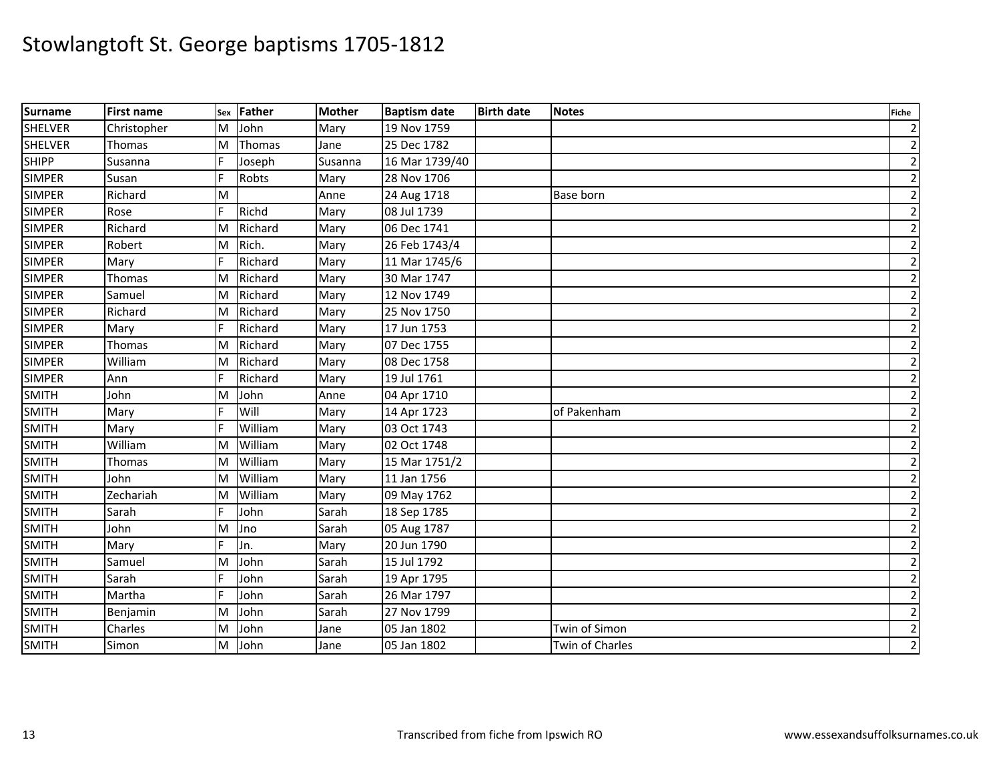| <b>Surname</b> | <b>First name</b> |   | sex Father | <b>Mother</b> | <b>Baptism date</b> | <b>Birth date</b> | <b>Notes</b>    | <b>Fiche</b>   |
|----------------|-------------------|---|------------|---------------|---------------------|-------------------|-----------------|----------------|
| <b>SHELVER</b> | Christopher       | M | John       | Mary          | 19 Nov 1759         |                   |                 | $\overline{2}$ |
| <b>SHELVER</b> | Thomas            | M | Thomas     | Jane          | 25 Dec 1782         |                   |                 | $\overline{2}$ |
| <b>SHIPP</b>   | Susanna           |   | Joseph     | Susanna       | 16 Mar 1739/40      |                   |                 | $\overline{2}$ |
| <b>SIMPER</b>  | Susan             | F | Robts      | Mary          | 28 Nov 1706         |                   |                 | $\mathbf 2$    |
| <b>SIMPER</b>  | Richard           | M |            | Anne          | 24 Aug 1718         |                   | Base born       | $\overline{2}$ |
| <b>SIMPER</b>  | Rose              | F | Richd      | Mary          | 08 Jul 1739         |                   |                 | $\overline{2}$ |
| <b>SIMPER</b>  | Richard           | M | Richard    | Mary          | 06 Dec 1741         |                   |                 | $\overline{2}$ |
| <b>SIMPER</b>  | Robert            | M | Rich.      | Mary          | 26 Feb 1743/4       |                   |                 | $\overline{2}$ |
| <b>SIMPER</b>  | Mary              | E | Richard    | Mary          | 11 Mar 1745/6       |                   |                 | $\mathbf 2$    |
| <b>SIMPER</b>  | Thomas            | M | Richard    | Mary          | 30 Mar 1747         |                   |                 | $\mathbf 2$    |
| <b>SIMPER</b>  | Samuel            | M | Richard    | Mary          | 12 Nov 1749         |                   |                 | $\mathbf 2$    |
| <b>SIMPER</b>  | Richard           | M | Richard    | Mary          | 25 Nov 1750         |                   |                 | $\overline{2}$ |
| <b>SIMPER</b>  | Mary              | E | Richard    | Mary          | 17 Jun 1753         |                   |                 | $\mathbf 2$    |
| <b>SIMPER</b>  | Thomas            | M | Richard    | Mary          | 07 Dec 1755         |                   |                 | $\mathbf{2}$   |
| <b>SIMPER</b>  | William           | M | Richard    | Mary          | 08 Dec 1758         |                   |                 | $\mathbf 2$    |
| <b>SIMPER</b>  | Ann               | F | Richard    | Mary          | 19 Jul 1761         |                   |                 | $\overline{2}$ |
| <b>SMITH</b>   | John              | M | John       | Anne          | 04 Apr 1710         |                   |                 | $\mathbf 2$    |
| <b>SMITH</b>   | Mary              | E | Will       | Mary          | 14 Apr 1723         |                   | of Pakenham     | $\overline{2}$ |
| <b>SMITH</b>   | Mary              |   | William    | Mary          | 03 Oct 1743         |                   |                 | $\mathbf 2$    |
| <b>SMITH</b>   | William           | M | William    | Mary          | 02 Oct 1748         |                   |                 | $\overline{2}$ |
| <b>SMITH</b>   | Thomas            | М | William    | Mary          | 15 Mar 1751/2       |                   |                 | $\mathbf 2$    |
| <b>SMITH</b>   | John              | M | William    | Mary          | 11 Jan 1756         |                   |                 | $\mathbf 2$    |
| <b>SMITH</b>   | Zechariah         | M | William    | Mary          | 09 May 1762         |                   |                 | $\mathbf 2$    |
| <b>SMITH</b>   | Sarah             |   | John       | Sarah         | 18 Sep 1785         |                   |                 | $\overline{2}$ |
| <b>SMITH</b>   | John              | M | Jno        | Sarah         | 05 Aug 1787         |                   |                 | $\mathbf 2$    |
| <b>SMITH</b>   | Mary              | E | Jn.        | Mary          | 20 Jun 1790         |                   |                 | $\overline{c}$ |
| <b>SMITH</b>   | Samuel            | M | John       | Sarah         | 15 Jul 1792         |                   |                 | $\mathbf{2}$   |
| <b>SMITH</b>   | Sarah             | E | John       | Sarah         | 19 Apr 1795         |                   |                 | $\mathbf 2$    |
| <b>SMITH</b>   | Martha            |   | John       | Sarah         | 26 Mar 1797         |                   |                 | $\overline{2}$ |
| <b>SMITH</b>   | Benjamin          | M | John       | Sarah         | 27 Nov 1799         |                   |                 | $\mathbf{2}$   |
| <b>SMITH</b>   | Charles           | M | John       | Jane          | 05 Jan 1802         |                   | Twin of Simon   | $\mathbf{2}$   |
| <b>SMITH</b>   | Simon             | M | John       | Jane          | 05 Jan 1802         |                   | Twin of Charles | $\overline{2}$ |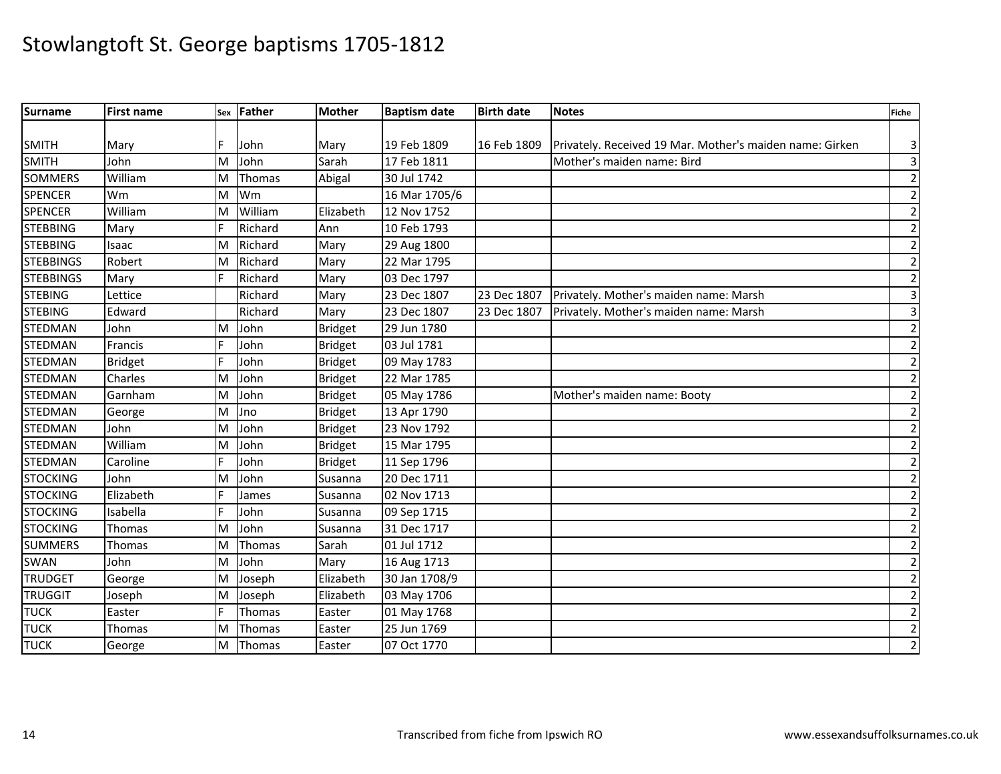| <b>Surname</b>   | <b>First name</b> |   | sex Father | <b>Mother</b>  | <b>Baptism date</b> | <b>Birth date</b> | <b>Notes</b>                                             | <b>Fiche</b>            |
|------------------|-------------------|---|------------|----------------|---------------------|-------------------|----------------------------------------------------------|-------------------------|
|                  |                   |   |            |                |                     |                   |                                                          |                         |
| <b>SMITH</b>     | Mary              | F | John       | Mary           | 19 Feb 1809         | 16 Feb 1809       | Privately. Received 19 Mar. Mother's maiden name: Girken | 3                       |
| <b>SMITH</b>     | John              | M | John       | Sarah          | 17 Feb 1811         |                   | Mother's maiden name: Bird                               | $\overline{3}$          |
| <b>SOMMERS</b>   | William           | M | Thomas     | Abigal         | 30 Jul 1742         |                   |                                                          | $\overline{\mathbf{c}}$ |
| <b>SPENCER</b>   | Wm                | M | Wm         |                | 16 Mar 1705/6       |                   |                                                          | $\overline{\mathbf{c}}$ |
| <b>SPENCER</b>   | William           | M | William    | Elizabeth      | 12 Nov 1752         |                   |                                                          | $\overline{2}$          |
| <b>STEBBING</b>  | Mary              |   | Richard    | Ann            | 10 Feb 1793         |                   |                                                          | $\overline{2}$          |
| <b>STEBBING</b>  | Isaac             | M | Richard    | Mary           | 29 Aug 1800         |                   |                                                          | $\overline{c}$          |
| <b>STEBBINGS</b> | Robert            | M | Richard    | Mary           | 22 Mar 1795         |                   |                                                          | $\overline{2}$          |
| <b>STEBBINGS</b> | Mary              | F | Richard    | Mary           | 03 Dec 1797         |                   |                                                          | $\overline{c}$          |
| <b>STEBING</b>   | Lettice           |   | Richard    | Mary           | 23 Dec 1807         | 23 Dec 1807       | Privately. Mother's maiden name: Marsh                   | 3                       |
| <b>STEBING</b>   | Edward            |   | Richard    | Mary           | 23 Dec 1807         | 23 Dec 1807       | Privately. Mother's maiden name: Marsh                   | 3                       |
| <b>STEDMAN</b>   | John              | м | John       | <b>Bridget</b> | 29 Jun 1780         |                   |                                                          | $\overline{c}$          |
| <b>STEDMAN</b>   | Francis           | F | John       | <b>Bridget</b> | 03 Jul 1781         |                   |                                                          | $\overline{c}$          |
| <b>STEDMAN</b>   | <b>Bridget</b>    | F | John       | <b>Bridget</b> | 09 May 1783         |                   |                                                          | $\overline{2}$          |
| <b>STEDMAN</b>   | Charles           | M | John       | <b>Bridget</b> | 22 Mar 1785         |                   |                                                          | $\overline{\mathbf{c}}$ |
| <b>STEDMAN</b>   | Garnham           | M | John       | <b>Bridget</b> | 05 May 1786         |                   | Mother's maiden name: Booty                              | $\overline{\mathbf{c}}$ |
| <b>STEDMAN</b>   | George            | M | <b>Jno</b> | <b>Bridget</b> | 13 Apr 1790         |                   |                                                          | $\overline{2}$          |
| <b>STEDMAN</b>   | John              | м | John       | <b>Bridget</b> | 23 Nov 1792         |                   |                                                          | $\overline{c}$          |
| <b>STEDMAN</b>   | William           | M | John       | <b>Bridget</b> | 15 Mar 1795         |                   |                                                          | $\overline{2}$          |
| <b>STEDMAN</b>   | Caroline          | F | John       | <b>Bridget</b> | 11 Sep 1796         |                   |                                                          | $\overline{2}$          |
| <b>STOCKING</b>  | John              | M | John       | Susanna        | 20 Dec 1711         |                   |                                                          | $\overline{2}$          |
| <b>STOCKING</b>  | Elizabeth         | F | James      | Susanna        | 02 Nov 1713         |                   |                                                          | $\overline{2}$          |
| <b>STOCKING</b>  | Isabella          | E | John       | Susanna        | 09 Sep 1715         |                   |                                                          | $\overline{2}$          |
| <b>STOCKING</b>  | Thomas            | M | John       | Susanna        | 31 Dec 1717         |                   |                                                          | $\overline{\mathbf{c}}$ |
| <b>SUMMERS</b>   | Thomas            | M | Thomas     | Sarah          | 01 Jul 1712         |                   |                                                          | $\overline{\mathbf{c}}$ |
| <b>SWAN</b>      | John              | M | John       | Mary           | 16 Aug 1713         |                   |                                                          | $\overline{2}$          |
| <b>TRUDGET</b>   | George            | M | Joseph     | Elizabeth      | 30 Jan 1708/9       |                   |                                                          | $\overline{c}$          |
| <b>TRUGGIT</b>   | Joseph            | м | Joseph     | Elizabeth      | 03 May 1706         |                   |                                                          | $\overline{2}$          |
| <b>TUCK</b>      | Easter            | F | Thomas     | Easter         | 01 May 1768         |                   |                                                          | $\overline{\mathbf{c}}$ |
| <b>TUCK</b>      | Thomas            | M | Thomas     | Easter         | 25 Jun 1769         |                   |                                                          | $\mathbf 2$             |
| <b>TUCK</b>      | George            | M | Thomas     | Easter         | 07 Oct 1770         |                   |                                                          | $\overline{2}$          |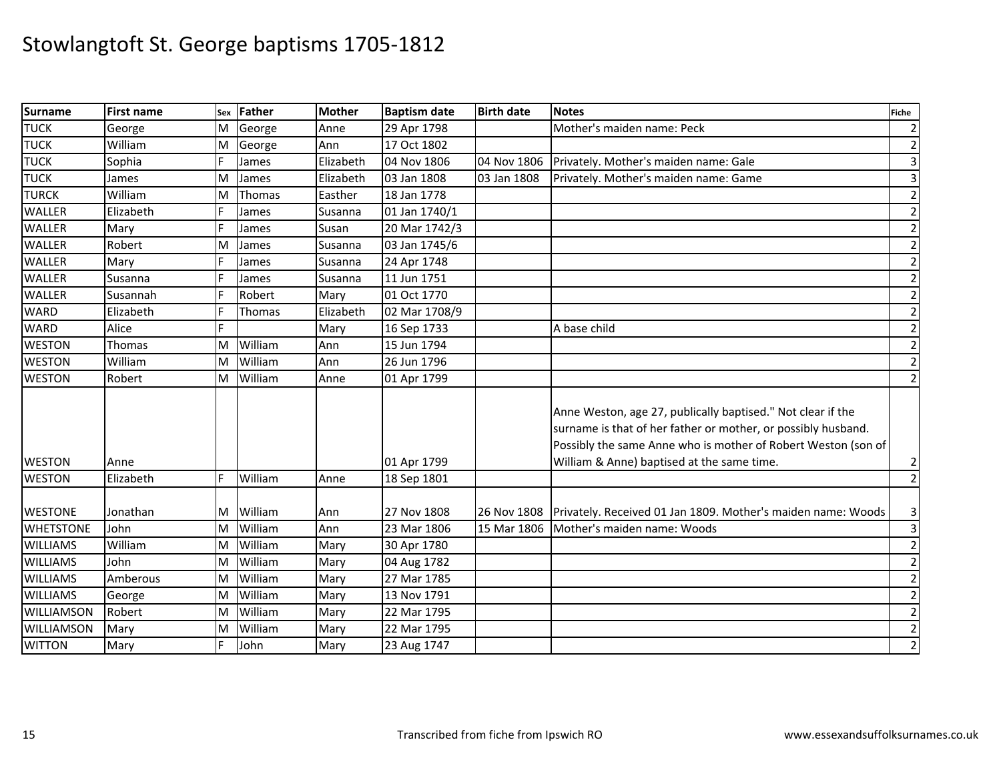| Surname           | <b>First name</b> | Sex | <b>Father</b> | <b>Mother</b> | <b>Baptism date</b> | <b>Birth date</b> | <b>Notes</b>                                                                                                                                                                                                                                | <b>Fiche</b>            |
|-------------------|-------------------|-----|---------------|---------------|---------------------|-------------------|---------------------------------------------------------------------------------------------------------------------------------------------------------------------------------------------------------------------------------------------|-------------------------|
| <b>TUCK</b>       | George            | M   | George        | Anne          | 29 Apr 1798         |                   | Mother's maiden name: Peck                                                                                                                                                                                                                  | $\overline{2}$          |
| <b>TUCK</b>       | William           | M   | George        | Ann           | 17 Oct 1802         |                   |                                                                                                                                                                                                                                             | $\mathbf 2$             |
| <b>TUCK</b>       | Sophia            | F   | James         | Elizabeth     | 04 Nov 1806         | 04 Nov 1806       | Privately. Mother's maiden name: Gale                                                                                                                                                                                                       | $\overline{\mathbf{3}}$ |
| <b>TUCK</b>       | James             | M   | James         | Elizabeth     | 03 Jan 1808         | 03 Jan 1808       | Privately. Mother's maiden name: Game                                                                                                                                                                                                       | $\overline{\mathbf{3}}$ |
| <b>TURCK</b>      | William           | M   | Thomas        | Easther       | 18 Jan 1778         |                   |                                                                                                                                                                                                                                             | $\overline{2}$          |
| <b>WALLER</b>     | Elizabeth         | F   | James         | Susanna       | 01 Jan 1740/1       |                   |                                                                                                                                                                                                                                             | $\overline{2}$          |
| <b>WALLER</b>     | Mary              | E   | James         | Susan         | 20 Mar 1742/3       |                   |                                                                                                                                                                                                                                             | $\overline{2}$          |
| <b>WALLER</b>     | Robert            | М   | James         | Susanna       | 03 Jan 1745/6       |                   |                                                                                                                                                                                                                                             | $\mathbf 2$             |
| <b>WALLER</b>     | Mary              | E   | James         | Susanna       | 24 Apr 1748         |                   |                                                                                                                                                                                                                                             | $\overline{2}$          |
| <b>WALLER</b>     | Susanna           | F   | James         | Susanna       | 11 Jun 1751         |                   |                                                                                                                                                                                                                                             | $\mathbf 2$             |
| <b>WALLER</b>     | Susannah          | F   | Robert        | Mary          | 01 Oct 1770         |                   |                                                                                                                                                                                                                                             | $\overline{2}$          |
| <b>WARD</b>       | Elizabeth         |     | Thomas        | Elizabeth     | 02 Mar 1708/9       |                   |                                                                                                                                                                                                                                             | $\overline{2}$          |
| <b>WARD</b>       | Alice             | E   |               | Mary          | 16 Sep 1733         |                   | A base child                                                                                                                                                                                                                                | $\overline{2}$          |
| <b>WESTON</b>     | Thomas            | M   | William       | Ann           | 15 Jun 1794         |                   |                                                                                                                                                                                                                                             | $\mathbf{2}$            |
| <b>WESTON</b>     | William           | M   | William       | Ann           | 26 Jun 1796         |                   |                                                                                                                                                                                                                                             | $\overline{2}$          |
| <b>WESTON</b>     | Robert            | М   | William       | Anne          | 01 Apr 1799         |                   |                                                                                                                                                                                                                                             | $\overline{2}$          |
| <b>WESTON</b>     | Anne              |     |               |               | 01 Apr 1799         |                   | Anne Weston, age 27, publically baptised." Not clear if the<br>surname is that of her father or mother, or possibly husband.<br>Possibly the same Anne who is mother of Robert Weston (son of<br>William & Anne) baptised at the same time. | $\mathbf{2}$            |
| <b>WESTON</b>     | Elizabeth         | E   | William       | Anne          | 18 Sep 1801         |                   |                                                                                                                                                                                                                                             | $\overline{2}$          |
| <b>WESTONE</b>    | Jonathan          | м   | William       | Ann           | 27 Nov 1808         |                   | 26 Nov 1808 Privately. Received 01 Jan 1809. Mother's maiden name: Woods                                                                                                                                                                    | $\mathbf{3}$            |
| <b>WHETSTONE</b>  | John              | M   | William       | Ann           | 23 Mar 1806         |                   | 15 Mar 1806 Mother's maiden name: Woods                                                                                                                                                                                                     | $\overline{\mathbf{3}}$ |
| <b>WILLIAMS</b>   | William           | M   | William       | Mary          | 30 Apr 1780         |                   |                                                                                                                                                                                                                                             | $\overline{2}$          |
| <b>WILLIAMS</b>   | John              | M   | William       | Mary          | 04 Aug 1782         |                   |                                                                                                                                                                                                                                             | $\mathbf 2$             |
| <b>WILLIAMS</b>   | Amberous          | м   | William       | Mary          | 27 Mar 1785         |                   |                                                                                                                                                                                                                                             | $\overline{2}$          |
| <b>WILLIAMS</b>   | George            | M   | William       | Mary          | 13 Nov 1791         |                   |                                                                                                                                                                                                                                             | $\mathbf 2$             |
| <b>WILLIAMSON</b> | Robert            | M   | William       | Mary          | 22 Mar 1795         |                   |                                                                                                                                                                                                                                             | $\mathbf{2}$            |
| <b>WILLIAMSON</b> | Mary              | M   | William       | Mary          | 22 Mar 1795         |                   |                                                                                                                                                                                                                                             | $\overline{2}$          |
| <b>WITTON</b>     | Mary              | F   | John          | Mary          | 23 Aug 1747         |                   |                                                                                                                                                                                                                                             | $2\vert$                |